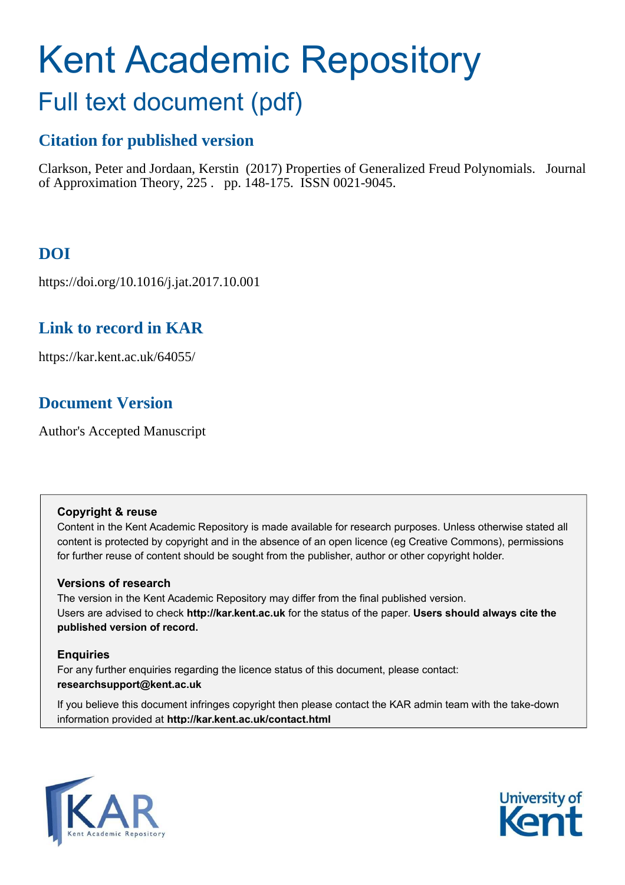# Kent Academic Repository

# Full text document (pdf)

# **Citation for published version**

Clarkson, Peter and Jordaan, Kerstin (2017) Properties of Generalized Freud Polynomials. Journal of Approximation Theory, 225 . pp. 148-175. ISSN 0021-9045.

# **DOI**

https://doi.org/10.1016/j.jat.2017.10.001

# **Link to record in KAR**

https://kar.kent.ac.uk/64055/

# **Document Version**

Author's Accepted Manuscript

### **Copyright & reuse**

Content in the Kent Academic Repository is made available for research purposes. Unless otherwise stated all content is protected by copyright and in the absence of an open licence (eg Creative Commons), permissions for further reuse of content should be sought from the publisher, author or other copyright holder.

### **Versions of research**

The version in the Kent Academic Repository may differ from the final published version. Users are advised to check **http://kar.kent.ac.uk** for the status of the paper. **Users should always cite the published version of record.**

### **Enquiries**

For any further enquiries regarding the licence status of this document, please contact: **researchsupport@kent.ac.uk**

If you believe this document infringes copyright then please contact the KAR admin team with the take-down information provided at **http://kar.kent.ac.uk/contact.html**



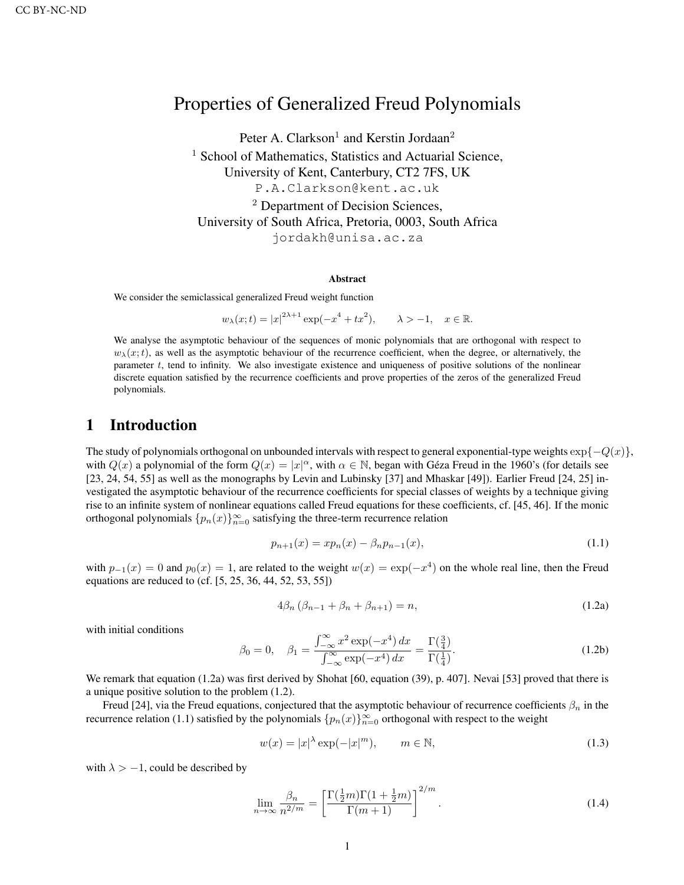## Properties of Generalized Freud Polynomials

Peter A. Clarkson<sup>1</sup> and Kerstin Jordaan<sup>2</sup> <sup>1</sup> School of Mathematics, Statistics and Actuarial Science, University of Kent, Canterbury, CT2 7FS, UK P.A.Clarkson@kent.ac.uk <sup>2</sup> Department of Decision Sciences, University of South Africa, Pretoria, 0003, South Africa jordakh@unisa.ac.za

#### Abstract

We consider the semiclassical generalized Freud weight function

$$
w_{\lambda}(x;t) = |x|^{2\lambda+1} \exp(-x^4 + tx^2), \qquad \lambda > -1, \quad x \in \mathbb{R}.
$$

We analyse the asymptotic behaviour of the sequences of monic polynomials that are orthogonal with respect to  $w_{\lambda}(x; t)$ , as well as the asymptotic behaviour of the recurrence coefficient, when the degree, or alternatively, the parameter t, tend to infinity. We also investigate existence and uniqueness of positive solutions of the nonlinear discrete equation satisfied by the recurrence coefficients and prove properties of the zeros of the generalized Freud polynomials.

#### 1 Introduction

The study of polynomials orthogonal on unbounded intervals with respect to general exponential-type weights  $\exp\{-Q(x)\}\$ , with  $Q(x)$  a polynomial of the form  $Q(x) = |x|^{\alpha}$ , with  $\alpha \in \mathbb{N}$ , began with Géza Freud in the 1960's (for details see [23, 24, 54, 55] as well as the monographs by Levin and Lubinsky [37] and Mhaskar [49]). Earlier Freud [24, 25] investigated the asymptotic behaviour of the recurrence coefficients for special classes of weights by a technique giving rise to an infinite system of nonlinear equations called Freud equations for these coefficients, cf. [45, 46]. If the monic orthogonal polynomials  $\{p_n(x)\}_{n=0}^{\infty}$  satisfying the three-term recurrence relation

$$
p_{n+1}(x) = x p_n(x) - \beta_n p_{n-1}(x), \qquad (1.1)
$$

with  $p_{-1}(x) = 0$  and  $p_0(x) = 1$ , are related to the weight  $w(x) = \exp(-x^4)$  on the whole real line, then the Freud equations are reduced to (cf. [5, 25, 36, 44, 52, 53, 55])

$$
4\beta_n \left(\beta_{n-1} + \beta_n + \beta_{n+1}\right) = n,\tag{1.2a}
$$

with initial conditions

$$
\beta_0 = 0, \quad \beta_1 = \frac{\int_{-\infty}^{\infty} x^2 \exp(-x^4) \, dx}{\int_{-\infty}^{\infty} \exp(-x^4) \, dx} = \frac{\Gamma(\frac{3}{4})}{\Gamma(\frac{1}{4})}.
$$
\n(1.2b)

We remark that equation (1.2a) was first derived by Shohat [60, equation (39), p. 407]. Nevai [53] proved that there is a unique positive solution to the problem (1.2).

Freud [24], via the Freud equations, conjectured that the asymptotic behaviour of recurrence coefficients  $\beta_n$  in the recurrence relation (1.1) satisfied by the polynomials  $\{p_n(x)\}_{n=0}^{\infty}$  orthogonal with respect to the weight

$$
w(x) = |x|^{\lambda} \exp(-|x|^m), \qquad m \in \mathbb{N}, \tag{1.3}
$$

with  $\lambda > -1$ , could be described by

$$
\lim_{n \to \infty} \frac{\beta_n}{n^{2/m}} = \left[ \frac{\Gamma(\frac{1}{2}m)\Gamma(1 + \frac{1}{2}m)}{\Gamma(m+1)} \right]^{2/m}.
$$
\n(1.4)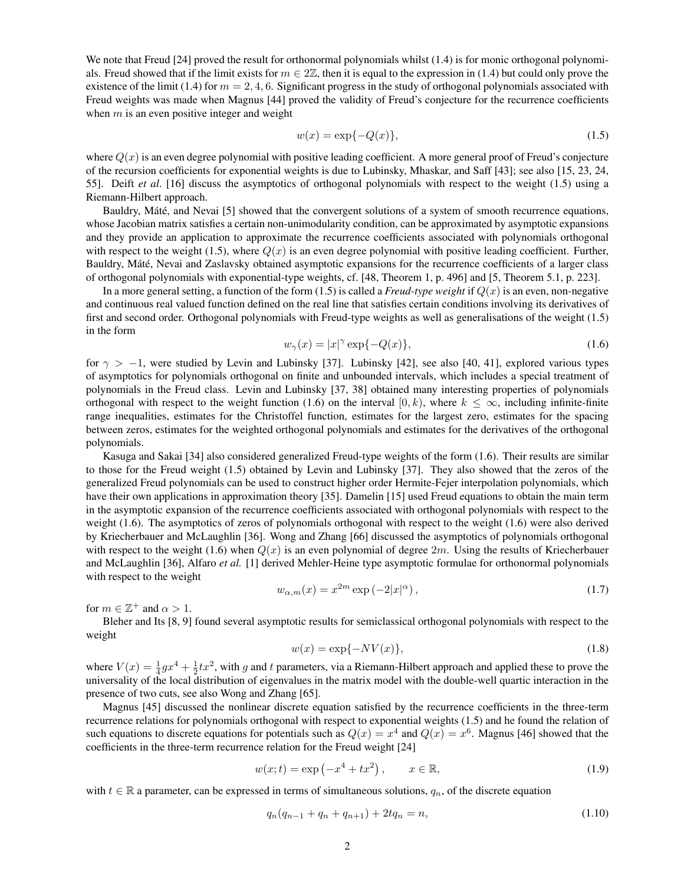We note that Freud [24] proved the result for orthonormal polynomials whilst (1.4) is for monic orthogonal polynomials. Freud showed that if the limit exists for  $m \in 2\mathbb{Z}$ , then it is equal to the expression in (1.4) but could only prove the existence of the limit (1.4) for  $m = 2, 4, 6$ . Significant progress in the study of orthogonal polynomials associated with Freud weights was made when Magnus [44] proved the validity of Freud's conjecture for the recurrence coefficients when  $m$  is an even positive integer and weight

$$
w(x) = \exp\{-Q(x)\},
$$
 (1.5)

where  $Q(x)$  is an even degree polynomial with positive leading coefficient. A more general proof of Freud's conjecture of the recursion coefficients for exponential weights is due to Lubinsky, Mhaskar, and Saff [43]; see also [15, 23, 24, 55]. Deift *et al*. [16] discuss the asymptotics of orthogonal polynomials with respect to the weight (1.5) using a Riemann-Hilbert approach.

Bauldry, Máté, and Nevai [5] showed that the convergent solutions of a system of smooth recurrence equations, whose Jacobian matrix satisfies a certain non-unimodularity condition, can be approximated by asymptotic expansions and they provide an application to approximate the recurrence coefficients associated with polynomials orthogonal with respect to the weight (1.5), where  $Q(x)$  is an even degree polynomial with positive leading coefficient. Further, Bauldry, Máté, Nevai and Zaslavsky obtained asymptotic expansions for the recurrence coefficients of a larger class of orthogonal polynomials with exponential-type weights, cf. [48, Theorem 1, p. 496] and [5, Theorem 5.1, p. 223].

In a more general setting, a function of the form  $(1.5)$  is called a *Freud-type weight* if  $Q(x)$  is an even, non-negative and continuous real valued function defined on the real line that satisfies certain conditions involving its derivatives of first and second order. Orthogonal polynomials with Freud-type weights as well as generalisations of the weight (1.5) in the form

$$
w_{\gamma}(x) = |x|^{\gamma} \exp\{-Q(x)\},\tag{1.6}
$$

for  $\gamma > -1$ , were studied by Levin and Lubinsky [37]. Lubinsky [42], see also [40, 41], explored various types of asymptotics for polynomials orthogonal on finite and unbounded intervals, which includes a special treatment of polynomials in the Freud class. Levin and Lubinsky [37, 38] obtained many interesting properties of polynomials orthogonal with respect to the weight function (1.6) on the interval [0, k), where  $k \leq \infty$ , including infinite-finite range inequalities, estimates for the Christoffel function, estimates for the largest zero, estimates for the spacing between zeros, estimates for the weighted orthogonal polynomials and estimates for the derivatives of the orthogonal polynomials.

Kasuga and Sakai [34] also considered generalized Freud-type weights of the form (1.6). Their results are similar to those for the Freud weight (1.5) obtained by Levin and Lubinsky [37]. They also showed that the zeros of the generalized Freud polynomials can be used to construct higher order Hermite-Fejer interpolation polynomials, which have their own applications in approximation theory [35]. Damelin [15] used Freud equations to obtain the main term in the asymptotic expansion of the recurrence coefficients associated with orthogonal polynomials with respect to the weight (1.6). The asymptotics of zeros of polynomials orthogonal with respect to the weight (1.6) were also derived by Kriecherbauer and McLaughlin [36]. Wong and Zhang [66] discussed the asymptotics of polynomials orthogonal with respect to the weight (1.6) when  $Q(x)$  is an even polynomial of degree 2m. Using the results of Kriecherbauer and McLaughlin [36], Alfaro *et al.* [1] derived Mehler-Heine type asymptotic formulae for orthonormal polynomials with respect to the weight

$$
w_{\alpha,m}(x) = x^{2m} \exp\left(-2|x|^{\alpha}\right),\tag{1.7}
$$

for  $m \in \mathbb{Z}^+$  and  $\alpha > 1$ .

Bleher and Its [8, 9] found several asymptotic results for semiclassical orthogonal polynomials with respect to the weight

$$
w(x) = \exp\{-NV(x)\},\tag{1.8}
$$

where  $V(x) = \frac{1}{4}gx^4 + \frac{1}{2}tx^2$ , with g and t parameters, via a Riemann-Hilbert approach and applied these to prove the universality of the local distribution of eigenvalues in the matrix model with the double-well quartic interaction in the presence of two cuts, see also Wong and Zhang [65].

Magnus [45] discussed the nonlinear discrete equation satisfied by the recurrence coefficients in the three-term recurrence relations for polynomials orthogonal with respect to exponential weights (1.5) and he found the relation of such equations to discrete equations for potentials such as  $Q(x) = x^4$  and  $Q(x) = x^6$ . Magnus [46] showed that the coefficients in the three-term recurrence relation for the Freud weight [24]

$$
w(x; t) = \exp(-x^4 + tx^2), \qquad x \in \mathbb{R},
$$
\n(1.9)

with  $t \in \mathbb{R}$  a parameter, can be expressed in terms of simultaneous solutions,  $q_n$ , of the discrete equation

$$
q_n(q_{n-1} + q_n + q_{n+1}) + 2tq_n = n,
$$
\n(1.10)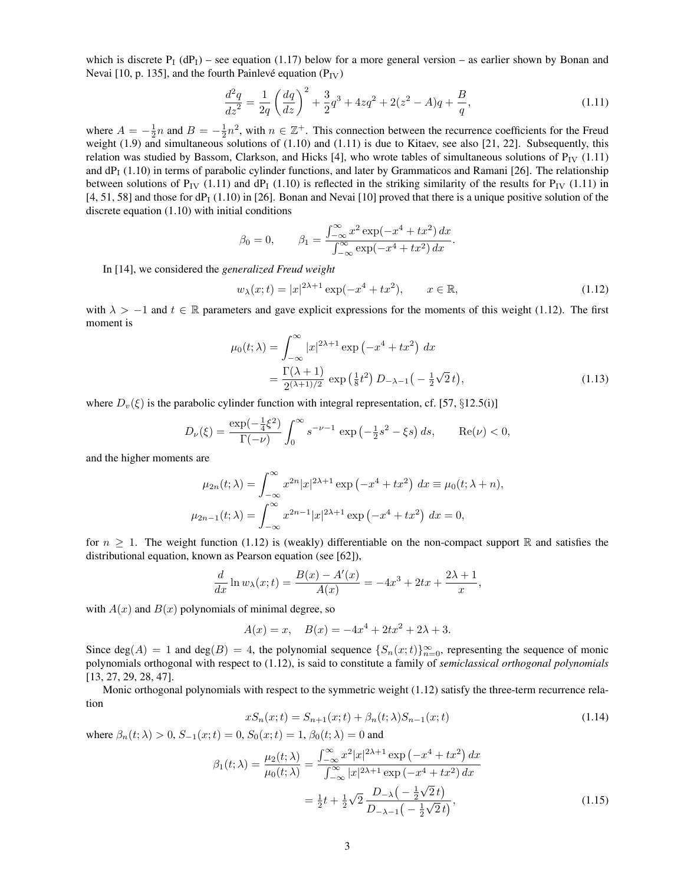which is discrete  $P_1(dP_1)$  – see equation (1.17) below for a more general version – as earlier shown by Bonan and Nevai [10, p. 135], and the fourth Painlevé equation  $(P_{IV})$ 

$$
\frac{d^2q}{dz^2} = \frac{1}{2q} \left(\frac{dq}{dz}\right)^2 + \frac{3}{2}q^3 + 4zq^2 + 2(z^2 - A)q + \frac{B}{q},\tag{1.11}
$$

where  $A = -\frac{1}{2}n$  and  $B = -\frac{1}{2}n^2$ , with  $n \in \mathbb{Z}^+$ . This connection between the recurrence coefficients for the Freud weight  $(1.9)$  and simultaneous solutions of  $(1.10)$  and  $(1.11)$  is due to Kitaev, see also  $[21, 22]$ . Subsequently, this relation was studied by Bassom, Clarkson, and Hicks [4], who wrote tables of simultaneous solutions of  $P_{IV}$  (1.11) and  $dP_1$  (1.10) in terms of parabolic cylinder functions, and later by Grammaticos and Ramani [26]. The relationship between solutions of  $P_{IV}$  (1.11) and dP<sub>I</sub> (1.10) is reflected in the striking similarity of the results for  $P_{IV}$  (1.11) in  $[4, 51, 58]$  and those for dP<sub>I</sub> (1.10) in [26]. Bonan and Nevai [10] proved that there is a unique positive solution of the discrete equation (1.10) with initial conditions

$$
\beta_0 = 0,
$$
  $\beta_1 = \frac{\int_{-\infty}^{\infty} x^2 \exp(-x^4 + tx^2) dx}{\int_{-\infty}^{\infty} \exp(-x^4 + tx^2) dx}.$ 

In [14], we considered the *generalized Freud weight*

$$
w_{\lambda}(x;t) = |x|^{2\lambda + 1} \exp(-x^4 + tx^2), \qquad x \in \mathbb{R},
$$
\n(1.12)

with  $\lambda > -1$  and  $t \in \mathbb{R}$  parameters and gave explicit expressions for the moments of this weight (1.12). The first moment is

$$
\mu_0(t; \lambda) = \int_{-\infty}^{\infty} |x|^{2\lambda + 1} \exp(-x^4 + tx^2) dx
$$
  
= 
$$
\frac{\Gamma(\lambda + 1)}{2^{(\lambda + 1)/2}} \exp(\frac{1}{8}t^2) D_{-\lambda - 1}(-\frac{1}{2}\sqrt{2}t),
$$
 (1.13)

where  $D_v(\xi)$  is the parabolic cylinder function with integral representation, cf. [57, §12.5(i)]

$$
D_{\nu}(\xi) = \frac{\exp(-\frac{1}{4}\xi^2)}{\Gamma(-\nu)} \int_0^{\infty} s^{-\nu - 1} \exp(-\frac{1}{2}s^2 - \xi s) ds, \quad \text{Re}(\nu) < 0,
$$

and the higher moments are

$$
\mu_{2n}(t; \lambda) = \int_{-\infty}^{\infty} x^{2n} |x|^{2\lambda + 1} \exp(-x^4 + tx^2) dx \equiv \mu_0(t; \lambda + n),
$$
  

$$
\mu_{2n-1}(t; \lambda) = \int_{-\infty}^{\infty} x^{2n-1} |x|^{2\lambda + 1} \exp(-x^4 + tx^2) dx = 0,
$$

for  $n \geq 1$ . The weight function (1.12) is (weakly) differentiable on the non-compact support R and satisfies the distributional equation, known as Pearson equation (see [62]),

$$
\frac{d}{dx}\ln w_{\lambda}(x;t) = \frac{B(x) - A'(x)}{A(x)} = -4x^3 + 2tx + \frac{2\lambda + 1}{x},
$$

with  $A(x)$  and  $B(x)$  polynomials of minimal degree, so

$$
A(x) = x, \quad B(x) = -4x^4 + 2tx^2 + 2\lambda + 3.
$$

Since  $deg(A) = 1$  and  $deg(B) = 4$ , the polynomial sequence  $\{S_n(x;t)\}_{n=0}^{\infty}$ , representing the sequence of monic polynomials orthogonal with respect to (1.12), is said to constitute a family of *semiclassical orthogonal polynomials* [13, 27, 29, 28, 47].

Monic orthogonal polynomials with respect to the symmetric weight (1.12) satisfy the three-term recurrence relation

$$
xS_n(x;t) = S_{n+1}(x;t) + \beta_n(t;\lambda)S_{n-1}(x;t)
$$
\n(1.14)

where  $\beta_n(t; \lambda) > 0$ ,  $S_{-1}(x; t) = 0$ ,  $S_0(x; t) = 1$ ,  $\beta_0(t; \lambda) = 0$  and

$$
\beta_1(t; \lambda) = \frac{\mu_2(t; \lambda)}{\mu_0(t; \lambda)} = \frac{\int_{-\infty}^{\infty} x^2 |x|^{2\lambda + 1} \exp(-x^4 + tx^2) dx}{\int_{-\infty}^{\infty} |x|^{2\lambda + 1} \exp(-x^4 + tx^2) dx}
$$

$$
= \frac{1}{2}t + \frac{1}{2}\sqrt{2} \frac{D_{-\lambda}\left(-\frac{1}{2}\sqrt{2}t\right)}{D_{-\lambda - 1}\left(-\frac{1}{2}\sqrt{2}t\right)},
$$
(1.15)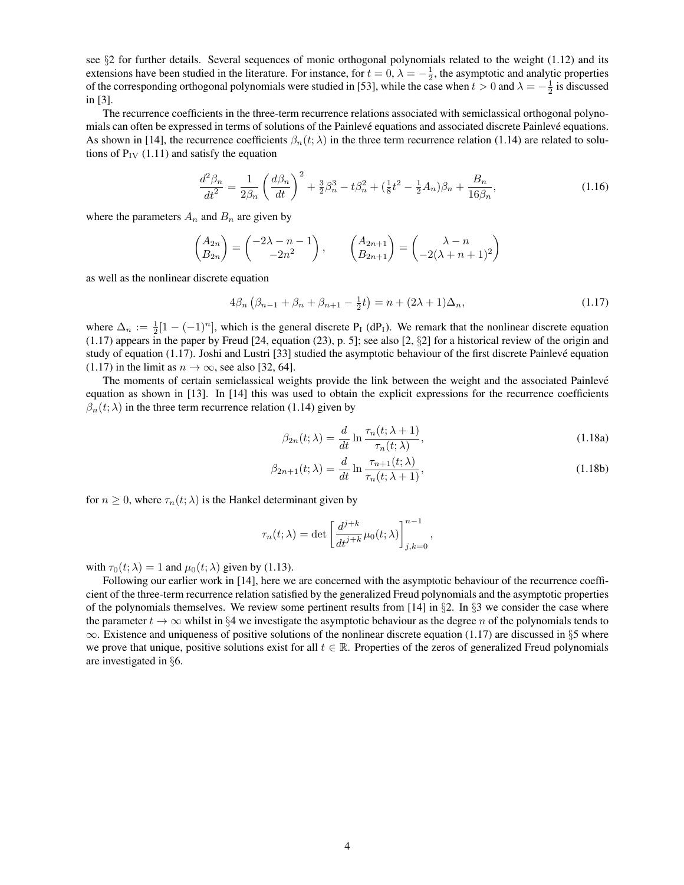see §2 for further details. Several sequences of monic orthogonal polynomials related to the weight (1.12) and its extensions have been studied in the literature. For instance, for  $t = 0$ ,  $\lambda = -\frac{1}{2}$ , the asymptotic and analytic properties of the corresponding orthogonal polynomials were studied in [53], while the case when  $t > 0$  and  $\lambda = -\frac{1}{2}$  is discussed in [3].

The recurrence coefficients in the three-term recurrence relations associated with semiclassical orthogonal polynomials can often be expressed in terms of solutions of the Painlevé equations and associated discrete Painlevé equations. As shown in [14], the recurrence coefficients  $\beta_n(t; \lambda)$  in the three term recurrence relation (1.14) are related to solutions of  $P_{IV}$  (1.11) and satisfy the equation

$$
\frac{d^2\beta_n}{dt^2} = \frac{1}{2\beta_n} \left(\frac{d\beta_n}{dt}\right)^2 + \frac{3}{2}\beta_n^3 - t\beta_n^2 + \left(\frac{1}{8}t^2 - \frac{1}{2}A_n\right)\beta_n + \frac{B_n}{16\beta_n},\tag{1.16}
$$

where the parameters  $A_n$  and  $B_n$  are given by

$$
\begin{pmatrix} A_{2n} \\ B_{2n} \end{pmatrix} = \begin{pmatrix} -2\lambda - n - 1 \\ -2n^2 \end{pmatrix}, \qquad \begin{pmatrix} A_{2n+1} \\ B_{2n+1} \end{pmatrix} = \begin{pmatrix} \lambda - n \\ -2(\lambda + n + 1)^2 \end{pmatrix}
$$

as well as the nonlinear discrete equation

$$
4\beta_n \left(\beta_{n-1} + \beta_n + \beta_{n+1} - \frac{1}{2}t\right) = n + (2\lambda + 1)\Delta_n,\tag{1.17}
$$

where  $\Delta_n := \frac{1}{2}[1 - (-1)^n]$ , which is the general discrete P<sub>I</sub> (dP<sub>I</sub>). We remark that the nonlinear discrete equation (1.17) appears in the paper by Freud [24, equation (23), p. 5]; see also [2, §2] for a historical review of the origin and study of equation (1.17). Joshi and Lustri [33] studied the asymptotic behaviour of the first discrete Painlevé equation (1.17) in the limit as  $n \to \infty$ , see also [32, 64].

The moments of certain semiclassical weights provide the link between the weight and the associated Painlevé equation as shown in [13]. In [14] this was used to obtain the explicit expressions for the recurrence coefficients  $\beta_n(t; \lambda)$  in the three term recurrence relation (1.14) given by

$$
\beta_{2n}(t; \lambda) = \frac{d}{dt} \ln \frac{\tau_n(t; \lambda + 1)}{\tau_n(t; \lambda)},
$$
\n(1.18a)

$$
\beta_{2n+1}(t; \lambda) = \frac{d}{dt} \ln \frac{\tau_{n+1}(t; \lambda)}{\tau_n(t; \lambda + 1)},
$$
\n(1.18b)

for  $n \geq 0$ , where  $\tau_n(t; \lambda)$  is the Hankel determinant given by

$$
\tau_n(t; \lambda) = \det \left[ \frac{d^{j+k}}{dt^{j+k}} \mu_0(t; \lambda) \right]_{j,k=0}^{n-1},
$$

with  $\tau_0(t; \lambda) = 1$  and  $\mu_0(t; \lambda)$  given by (1.13).

Following our earlier work in [14], here we are concerned with the asymptotic behaviour of the recurrence coefficient of the three-term recurrence relation satisfied by the generalized Freud polynomials and the asymptotic properties of the polynomials themselves. We review some pertinent results from [14] in  $\S$ 2. In  $\S$ 3 we consider the case where the parameter  $t \to \infty$  whilst in §4 we investigate the asymptotic behaviour as the degree n of the polynomials tends to  $\infty$ . Existence and uniqueness of positive solutions of the nonlinear discrete equation (1.17) are discussed in §5 where we prove that unique, positive solutions exist for all  $t \in \mathbb{R}$ . Properties of the zeros of generalized Freud polynomials are investigated in §6.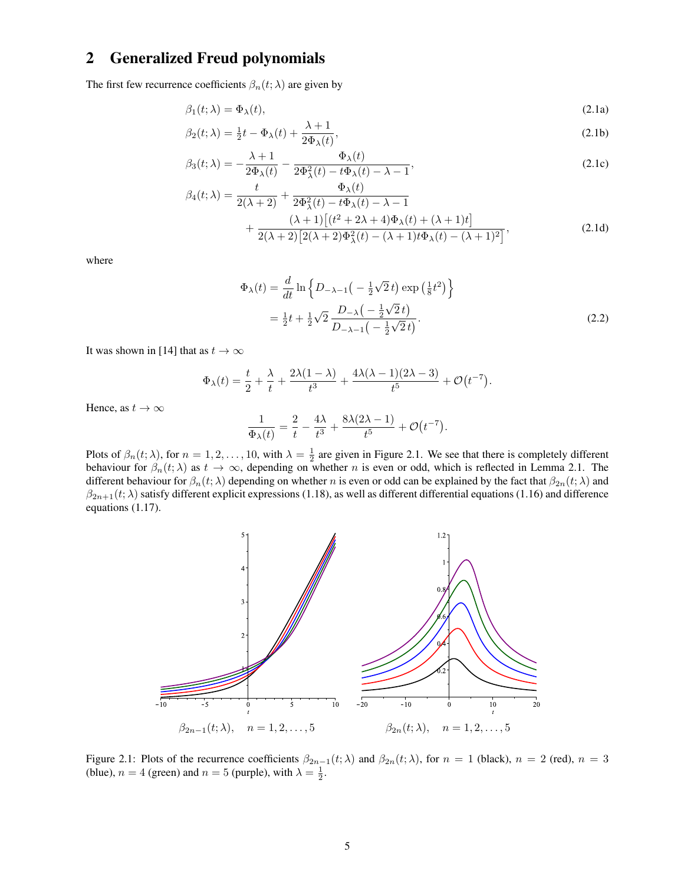## 2 Generalized Freud polynomials

The first few recurrence coefficients  $\beta_n(t; \lambda)$  are given by

$$
\beta_1(t; \lambda) = \Phi_{\lambda}(t), \tag{2.1a}
$$

$$
\beta_2(t; \lambda) = \frac{1}{2}t - \Phi_\lambda(t) + \frac{\lambda + 1}{2\Phi_\lambda(t)},
$$
\n(2.1b)

$$
\beta_3(t;\lambda) = -\frac{\lambda+1}{2\Phi_\lambda(t)} - \frac{\Phi_\lambda(t)}{2\Phi_\lambda^2(t) - t\Phi_\lambda(t) - \lambda - 1},\tag{2.1c}
$$

$$
\beta_4(t;\lambda) = \frac{t}{2(\lambda+2)} + \frac{\Phi_{\lambda}(t)}{2\Phi_{\lambda}^2(t) - t\Phi_{\lambda}(t) - \lambda - 1} + \frac{(\lambda+1)[(t^2+2\lambda+4)\Phi_{\lambda}(t) + (\lambda+1)t]}{2(\lambda+2)[2(\lambda+2)\Phi_{\lambda}^2(t) - (\lambda+1)t\Phi_{\lambda}(t) - (\lambda+1)^2]},
$$
\n(2.1d)

where

$$
\Phi_{\lambda}(t) = \frac{d}{dt} \ln \left\{ D_{-\lambda-1} \left( -\frac{1}{2} \sqrt{2} t \right) \exp \left( \frac{1}{8} t^2 \right) \right\}
$$
  
=  $\frac{1}{2} t + \frac{1}{2} \sqrt{2} \frac{D_{-\lambda} \left( -\frac{1}{2} \sqrt{2} t \right)}{D_{-\lambda-1} \left( -\frac{1}{2} \sqrt{2} t \right)}.$  (2.2)

It was shown in [14] that as  $t \to \infty$ 

$$
\Phi_{\lambda}(t) = \frac{t}{2} + \frac{\lambda}{t} + \frac{2\lambda(1-\lambda)}{t^3} + \frac{4\lambda(\lambda-1)(2\lambda-3)}{t^5} + \mathcal{O}(t^{-7}).
$$

Hence, as  $t \to \infty$ 

$$
\frac{1}{\Phi_{\lambda}(t)} = \frac{2}{t} - \frac{4\lambda}{t^3} + \frac{8\lambda(2\lambda - 1)}{t^5} + \mathcal{O}(t^{-7}).
$$

Plots of  $\beta_n(t; \lambda)$ , for  $n = 1, 2, ..., 10$ , with  $\lambda = \frac{1}{2}$  are given in Figure 2.1. We see that there is completely different behaviour for  $\beta_n(t; \lambda)$  as  $t \to \infty$ , depending on whether n is even or odd, which is reflected in Lemma 2.1. The different behaviour for  $\beta_n(t; \lambda)$  depending on whether n is even or odd can be explained by the fact that  $\beta_{2n}(t; \lambda)$  and  $\beta_{2n+1}(t;\lambda)$  satisfy different explicit expressions (1.18), as well as different differential equations (1.16) and difference equations (1.17).



Figure 2.1: Plots of the recurrence coefficients  $\beta_{2n-1}(t;\lambda)$  and  $\beta_{2n}(t;\lambda)$ , for  $n = 1$  (black),  $n = 2$  (red),  $n = 3$ (blue),  $n = 4$  (green) and  $n = 5$  (purple), with  $\lambda = \frac{1}{2}$ .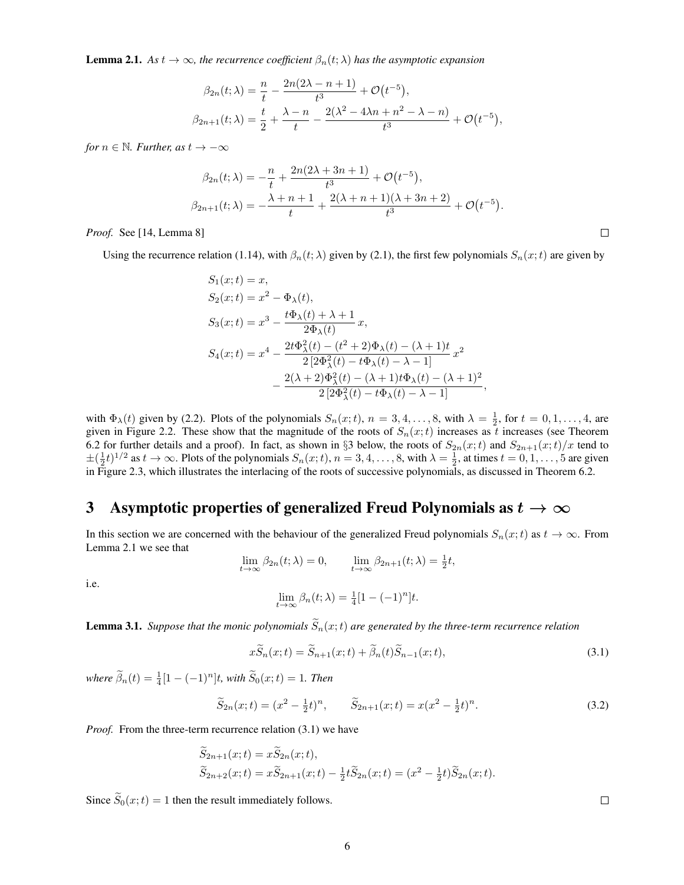**Lemma 2.1.** As  $t \to \infty$ , the recurrence coefficient  $\beta_n(t; \lambda)$  has the asymptotic expansion

$$
\beta_{2n}(t; \lambda) = \frac{n}{t} - \frac{2n(2\lambda - n + 1)}{t^3} + \mathcal{O}(t^{-5}),
$$
  

$$
\beta_{2n+1}(t; \lambda) = \frac{t}{2} + \frac{\lambda - n}{t} - \frac{2(\lambda^2 - 4\lambda n + n^2 - \lambda - n)}{t^3} + \mathcal{O}(t^{-5}),
$$

*for*  $n \in \mathbb{N}$ *. Further, as*  $t \to -\infty$ 

$$
\beta_{2n}(t; \lambda) = -\frac{n}{t} + \frac{2n(2\lambda + 3n + 1)}{t^3} + \mathcal{O}(t^{-5}),
$$
  

$$
\beta_{2n+1}(t; \lambda) = -\frac{\lambda + n + 1}{t} + \frac{2(\lambda + n + 1)(\lambda + 3n + 2)}{t^3} + \mathcal{O}(t^{-5}).
$$

*Proof.* See [14, Lemma 8]

Using the recurrence relation (1.14), with  $\beta_n(t; \lambda)$  given by (2.1), the first few polynomials  $S_n(x; t)$  are given by

$$
S_1(x;t) = x,
$$
  
\n
$$
S_2(x;t) = x^2 - \Phi_{\lambda}(t),
$$
  
\n
$$
S_3(x;t) = x^3 - \frac{t\Phi_{\lambda}(t) + \lambda + 1}{2\Phi_{\lambda}(t)}x,
$$
  
\n
$$
S_4(x;t) = x^4 - \frac{2t\Phi_{\lambda}^2(t) - (t^2 + 2)\Phi_{\lambda}(t) - (\lambda + 1)t}{2[2\Phi_{\lambda}^2(t) - t\Phi_{\lambda}(t) - \lambda - 1]}x^2 - \frac{2(\lambda + 2)\Phi_{\lambda}^2(t) - (\lambda + 1)t\Phi_{\lambda}(t) - (\lambda + 1)^2}{2[2\Phi_{\lambda}^2(t) - t\Phi_{\lambda}(t) - \lambda - 1]},
$$

with  $\Phi_{\lambda}(t)$  given by (2.2). Plots of the polynomials  $S_n(x;t)$ ,  $n = 3, 4, ..., 8$ , with  $\lambda = \frac{1}{2}$ , for  $t = 0, 1, ..., 4$ , are given in Figure 2.2. These show that the magnitude of the roots of  $S_n(x;t)$  increases as t increases (see Theorem 6.2 for further details and a proof). In fact, as shown in §3 below, the roots of  $S_{2n}(x;t)$  and  $S_{2n+1}(x;t)/x$  tend to  $\pm(\frac{1}{2}t)^{1/2}$  as  $t \to \infty$ . Plots of the polynomials  $S_n(x;t)$ ,  $n = 3, 4, \ldots, 8$ , with  $\lambda = \frac{1}{2}$ , at times  $t = 0, 1, \ldots, 5$  are given in Figure 2.3, which illustrates the interlacing of the roots of successive polynomials, as discussed in Theorem 6.2.

## 3 Asymptotic properties of generalized Freud Polynomials as  $t \to \infty$

In this section we are concerned with the behaviour of the generalized Freud polynomials  $S_n(x;t)$  as  $t \to \infty$ . From Lemma 2.1 we see that

$$
\lim_{t \to \infty} \beta_{2n}(t; \lambda) = 0, \qquad \lim_{t \to \infty} \beta_{2n+1}(t; \lambda) = \frac{1}{2}t,
$$

i.e.

$$
\lim_{t \to \infty} \beta_n(t; \lambda) = \frac{1}{4} [1 - (-1)^n] t.
$$

**Lemma 3.1.** *Suppose that the monic polynomials*  $\widetilde{S}_n(x;t)$  *are generated by the three-term recurrence relation* 

$$
x\widetilde{S}_n(x;t) = \widetilde{S}_{n+1}(x;t) + \widetilde{\beta}_n(t)\widetilde{S}_{n-1}(x;t),\tag{3.1}
$$

 $where \ \tilde{\beta}_n(t) = \frac{1}{4} [1 - (-1)^n] t$ , with  $\tilde{S}_0(x; t) = 1$ . Then

$$
\widetilde{S}_{2n}(x;t) = (x^2 - \frac{1}{2}t)^n, \qquad \widetilde{S}_{2n+1}(x;t) = x(x^2 - \frac{1}{2}t)^n.
$$
\n(3.2)

*Proof.* From the three-term recurrence relation (3.1) we have

$$
\widetilde{S}_{2n+1}(x;t) = x\widetilde{S}_{2n}(x;t), \n\widetilde{S}_{2n+2}(x;t) = x\widetilde{S}_{2n+1}(x;t) - \frac{1}{2}t\widetilde{S}_{2n}(x;t) = (x^2 - \frac{1}{2}t)\widetilde{S}_{2n}(x;t).
$$

Since  $\widetilde{S}_0(x;t) = 1$  then the result immediately follows.

 $\Box$ 

 $\Box$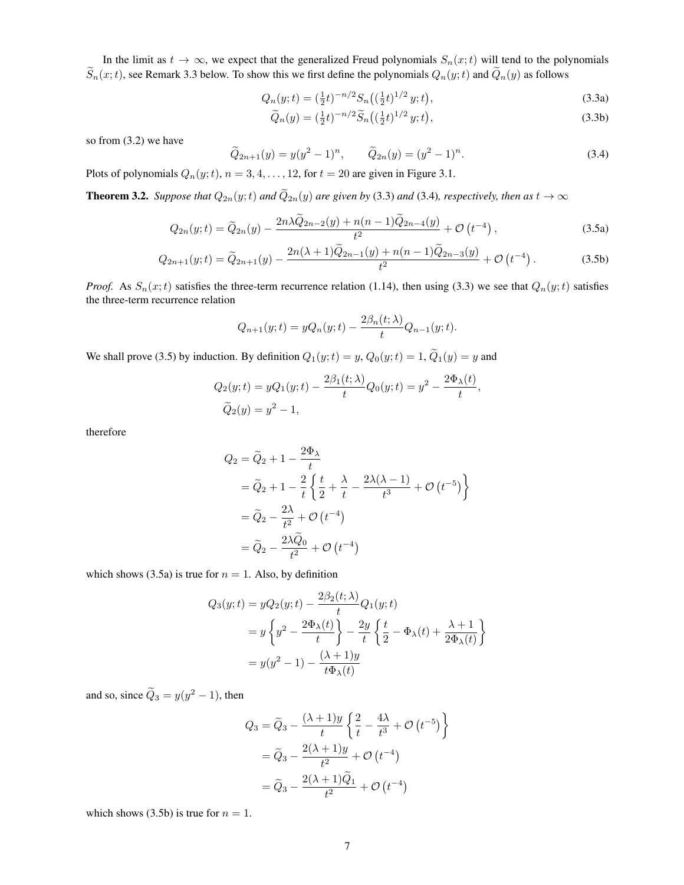In the limit as  $t \to \infty$ , we expect that the generalized Freud polynomials  $S_n(x;t)$  will tend to the polynomials  $\widetilde{S}_n(x;t)$ , see Remark 3.3 below. To show this we first define the polynomials  $Q_n(y;t)$  and  $\widetilde{Q}_n(y)$  as follows

$$
Q_n(y;t) = \left(\frac{1}{2}t\right)^{-n/2} S_n\left(\left(\frac{1}{2}t\right)^{1/2} y;t\right),\tag{3.3a}
$$

$$
\widetilde{Q}_n(y) = \left(\frac{1}{2}t\right)^{-n/2} \widetilde{S}_n\left(\left(\frac{1}{2}t\right)^{1/2} y; t\right),\tag{3.3b}
$$

so from (3.2) we have

$$
\widetilde{Q}_{2n+1}(y) = y(y^2 - 1)^n, \qquad \widetilde{Q}_{2n}(y) = (y^2 - 1)^n.
$$
\n(3.4)

Plots of polynomials  $Q_n(y; t)$ ,  $n = 3, 4, \ldots, 12$ , for  $t = 20$  are given in Figure 3.1.

**Theorem 3.2.** *Suppose that*  $Q_{2n}(y;t)$  *and*  $\tilde{Q}_{2n}(y)$  *are given by* (3.3) *and* (3.4)*, respectively, then as*  $t \to \infty$ 

$$
Q_{2n}(y;t) = \widetilde{Q}_{2n}(y) - \frac{2n\lambda\widetilde{Q}_{2n-2}(y) + n(n-1)\widetilde{Q}_{2n-4}(y)}{t^2} + \mathcal{O}\left(t^{-4}\right),\tag{3.5a}
$$

$$
Q_{2n+1}(y;t) = \widetilde{Q}_{2n+1}(y) - \frac{2n(\lambda+1)\widetilde{Q}_{2n-1}(y) + n(n-1)\widetilde{Q}_{2n-3}(y)}{t^2} + \mathcal{O}\left(t^{-4}\right). \tag{3.5b}
$$

*Proof.* As  $S_n(x;t)$  satisfies the three-term recurrence relation (1.14), then using (3.3) we see that  $Q_n(y;t)$  satisfies the three-term recurrence relation

$$
Q_{n+1}(y;t) = yQ_n(y;t) - \frac{2\beta_n(t;\lambda)}{t}Q_{n-1}(y;t).
$$

We shall prove (3.5) by induction. By definition  $Q_1(y;t) = y$ ,  $Q_0(y;t) = 1$ ,  $\tilde{Q}_1(y) = y$  and

$$
Q_2(y;t) = yQ_1(y;t) - \frac{2\beta_1(t;\lambda)}{t}Q_0(y;t) = y^2 - \frac{2\Phi_{\lambda}(t)}{t},
$$
  

$$
\widetilde{Q}_2(y) = y^2 - 1,
$$

therefore

$$
Q_2 = \widetilde{Q}_2 + 1 - \frac{2\Phi_\lambda}{t}
$$
  
=  $\widetilde{Q}_2 + 1 - \frac{2}{t} \left\{ \frac{t}{2} + \frac{\lambda}{t} - \frac{2\lambda(\lambda - 1)}{t^3} + \mathcal{O}(t^{-5}) \right\}$   
=  $\widetilde{Q}_2 - \frac{2\lambda}{t^2} + \mathcal{O}(t^{-4})$   
=  $\widetilde{Q}_2 - \frac{2\lambda\widetilde{Q}_0}{t^2} + \mathcal{O}(t^{-4})$ 

which shows (3.5a) is true for  $n = 1$ . Also, by definition

$$
Q_3(y;t) = yQ_2(y;t) - \frac{2\beta_2(t;\lambda)}{t}Q_1(y;t)
$$
  
=  $y\left\{y^2 - \frac{2\Phi_\lambda(t)}{t}\right\} - \frac{2y}{t}\left\{\frac{t}{2} - \Phi_\lambda(t) + \frac{\lambda+1}{2\Phi_\lambda(t)}\right\}$   
=  $y(y^2 - 1) - \frac{(\lambda+1)y}{t\Phi_\lambda(t)}$ 

and so, since  $\tilde{Q}_3 = y(y^2 - 1)$ , then

$$
Q_3 = \widetilde{Q}_3 - \frac{(\lambda + 1)y}{t} \left\{ \frac{2}{t} - \frac{4\lambda}{t^3} + \mathcal{O}(t^{-5}) \right\}
$$

$$
= \widetilde{Q}_3 - \frac{2(\lambda + 1)y}{t^2} + \mathcal{O}(t^{-4})
$$

$$
= \widetilde{Q}_3 - \frac{2(\lambda + 1)\widetilde{Q}_1}{t^2} + \mathcal{O}(t^{-4})
$$

which shows (3.5b) is true for  $n = 1$ .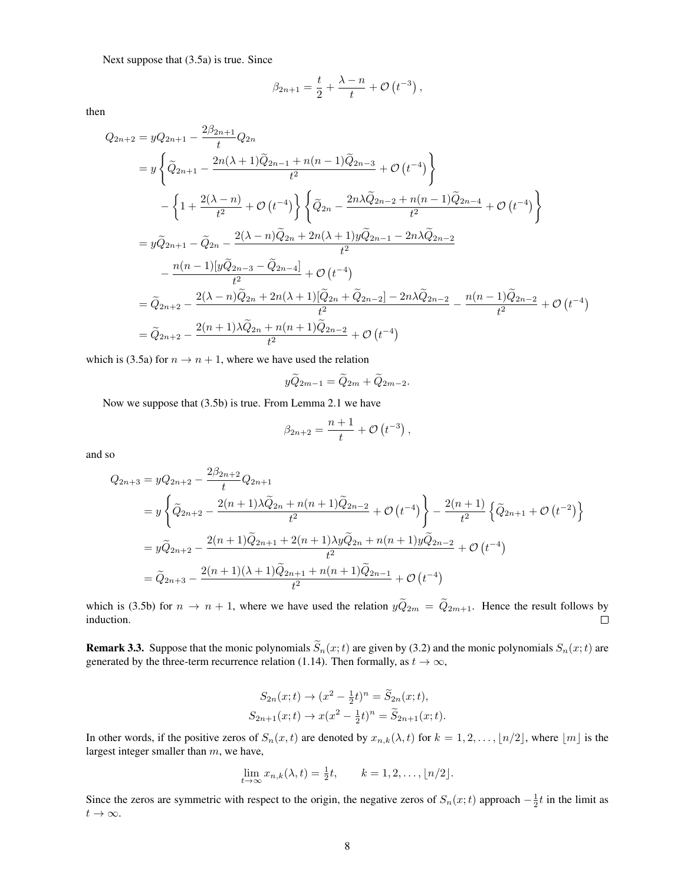Next suppose that (3.5a) is true. Since

$$
\beta_{2n+1} = \frac{t}{2} + \frac{\lambda - n}{t} + \mathcal{O}(t^{-3}),
$$

then

$$
Q_{2n+2} = yQ_{2n+1} - \frac{2\beta_{2n+1}}{t}Q_{2n}
$$
  
=  $y\left\{\tilde{Q}_{2n+1} - \frac{2n(\lambda+1)\tilde{Q}_{2n-1} + n(n-1)\tilde{Q}_{2n-3}}{t^2} + \mathcal{O}(t^{-4})\right\}$   
 $-\left\{1 + \frac{2(\lambda - n)}{t^2} + \mathcal{O}(t^{-4})\right\} \left\{\tilde{Q}_{2n} - \frac{2n\lambda\tilde{Q}_{2n-2} + n(n-1)\tilde{Q}_{2n-4}}{t^2} + \mathcal{O}(t^{-4})\right\}$   
=  $y\tilde{Q}_{2n+1} - \tilde{Q}_{2n} - \frac{2(\lambda - n)\tilde{Q}_{2n} + 2n(\lambda + 1)y\tilde{Q}_{2n-1} - 2n\lambda\tilde{Q}_{2n-2}}{t^2}$   
 $-\frac{n(n-1)[y\tilde{Q}_{2n-3} - \tilde{Q}_{2n-4}]}{t^2} + \mathcal{O}(t^{-4})$   
=  $\tilde{Q}_{2n+2} - \frac{2(\lambda - n)\tilde{Q}_{2n} + 2n(\lambda + 1)[\tilde{Q}_{2n} + \tilde{Q}_{2n-2}] - 2n\lambda\tilde{Q}_{2n-2}}{t^2} - \frac{n(n-1)\tilde{Q}_{2n-2}}{t^2} + \mathcal{O}(t^{-4})$   
=  $\tilde{Q}_{2n+2} - \frac{2(n+1)\lambda\tilde{Q}_{2n} + n(n+1)\tilde{Q}_{2n-2}}{t^2} + \mathcal{O}(t^{-4})$ 

which is (3.5a) for  $n \to n + 1$ , where we have used the relation

$$
y\widetilde{Q}_{2m-1} = \widetilde{Q}_{2m} + \widetilde{Q}_{2m-2}.
$$

Now we suppose that (3.5b) is true. From Lemma 2.1 we have

$$
\beta_{2n+2} = \frac{n+1}{t} + \mathcal{O}(t^{-3}),
$$

and so

$$
Q_{2n+3} = yQ_{2n+2} - \frac{2\beta_{2n+2}}{t}Q_{2n+1}
$$
  
=  $y\left\{\tilde{Q}_{2n+2} - \frac{2(n+1)\lambda\tilde{Q}_{2n} + n(n+1)\tilde{Q}_{2n-2}}{t^2} + \mathcal{O}(t^{-4})\right\} - \frac{2(n+1)}{t^2}\left\{\tilde{Q}_{2n+1} + \mathcal{O}(t^{-2})\right\}$   
=  $y\tilde{Q}_{2n+2} - \frac{2(n+1)\tilde{Q}_{2n+1} + 2(n+1)\lambda y\tilde{Q}_{2n} + n(n+1)y\tilde{Q}_{2n-2}}{t^2} + \mathcal{O}(t^{-4})$   
=  $\tilde{Q}_{2n+3} - \frac{2(n+1)(\lambda+1)\tilde{Q}_{2n+1} + n(n+1)\tilde{Q}_{2n-1}}{t^2} + \mathcal{O}(t^{-4})$ 

which is (3.5b) for  $n \to n + 1$ , where we have used the relation  $y\tilde{Q}_{2m} = \tilde{Q}_{2m+1}$ . Hence the result follows by induction. induction.

**Remark 3.3.** Suppose that the monic polynomials  $\tilde{S}_n(x;t)$  are given by (3.2) and the monic polynomials  $S_n(x;t)$  are generated by the three-term recurrence relation (1.14). Then formally, as  $t \to \infty$ ,

$$
S_{2n}(x;t) \to (x^2 - \frac{1}{2}t)^n = \widetilde{S}_{2n}(x;t),
$$
  
\n
$$
S_{2n+1}(x;t) \to x(x^2 - \frac{1}{2}t)^n = \widetilde{S}_{2n+1}(x;t).
$$

In other words, if the positive zeros of  $S_n(x, t)$  are denoted by  $x_{n,k}(\lambda, t)$  for  $k = 1, 2, \ldots, \lfloor n/2 \rfloor$ , where  $\lfloor m \rfloor$  is the largest integer smaller than m, we have,

$$
\lim_{t \to \infty} x_{n,k}(\lambda, t) = \frac{1}{2}t, \qquad k = 1, 2, \dots, \lfloor n/2 \rfloor.
$$

Since the zeros are symmetric with respect to the origin, the negative zeros of  $S_n(x;t)$  approach  $-\frac{1}{2}t$  in the limit as  $t\to\infty$ .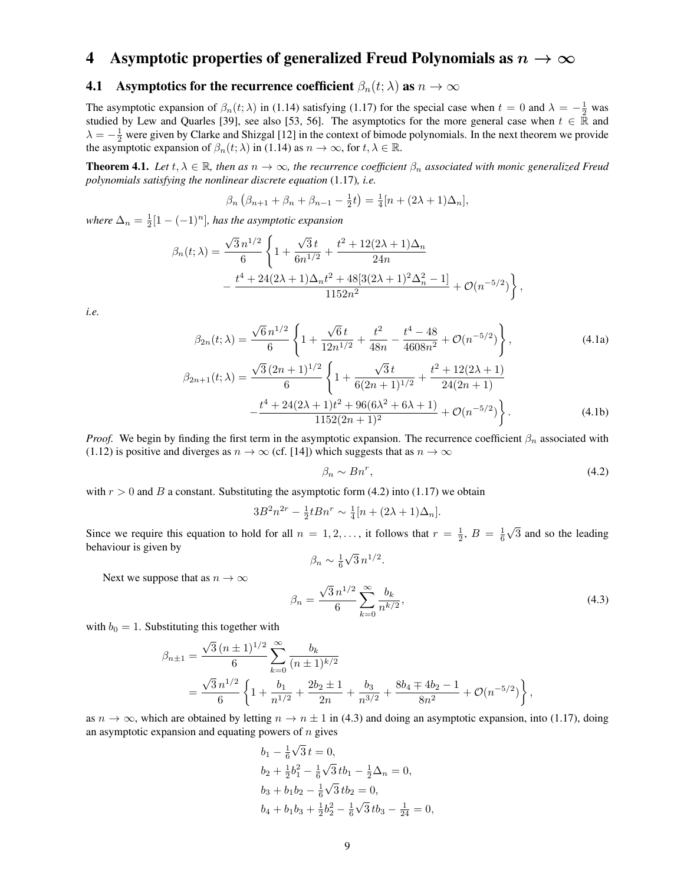## 4 Asymptotic properties of generalized Freud Polynomials as  $n \to \infty$

#### **4.1** Asymptotics for the recurrence coefficient  $\beta_n(t; \lambda)$  as  $n \to \infty$

The asymptotic expansion of  $\beta_n(t;\lambda)$  in (1.14) satisfying (1.17) for the special case when  $t=0$  and  $\lambda=-\frac{1}{2}$  was studied by Lew and Quarles [39], see also [53, 56]. The asymptotics for the more general case when  $t \in \mathbb{R}$  and  $\lambda = -\frac{1}{2}$  were given by Clarke and Shizgal [12] in the context of bimode polynomials. In the next theorem we provide the asymptotic expansion of  $\beta_n(t; \lambda)$  in (1.14) as  $n \to \infty$ , for  $t, \lambda \in \mathbb{R}$ .

**Theorem 4.1.** Let  $t, \lambda \in \mathbb{R}$ , then as  $n \to \infty$ , the recurrence coefficient  $\beta_n$  associated with monic generalized Freud *polynomials satisfying the nonlinear discrete equation* (1.17)*, i.e.*

$$
\beta_n \left( \beta_{n+1} + \beta_n + \beta_{n-1} - \frac{1}{2}t \right) = \frac{1}{4} [n + (2\lambda + 1)\Delta_n],
$$

where  $\Delta_n = \frac{1}{2}[1 - (-1)^n]$ , has the asymptotic expansion

$$
\beta_n(t;\lambda) = \frac{\sqrt{3} n^{1/2}}{6} \left\{ 1 + \frac{\sqrt{3} t}{6n^{1/2}} + \frac{t^2 + 12(2\lambda + 1)\Delta_n}{24n} - \frac{t^4 + 24(2\lambda + 1)\Delta_n t^2 + 48[3(2\lambda + 1)^2 \Delta_n^2 - 1]}{1152n^2} + \mathcal{O}(n^{-5/2}) \right\},
$$

*i.e.*

$$
\beta_{2n}(t; \lambda) = \frac{\sqrt{6} n^{1/2}}{6} \left\{ 1 + \frac{\sqrt{6} t}{12 n^{1/2}} + \frac{t^2}{48n} - \frac{t^4 - 48}{4608 n^2} + \mathcal{O}(n^{-5/2}) \right\},
$$
\n(4.1a)

$$
\beta_{2n+1}(t; \lambda) = \frac{\sqrt{3} (2n+1)^{1/2}}{6} \left\{ 1 + \frac{\sqrt{3} t}{6(2n+1)^{1/2}} + \frac{t^2 + 12(2\lambda + 1)}{24(2n+1)} - \frac{t^4 + 24(2\lambda + 1)t^2 + 96(6\lambda^2 + 6\lambda + 1)}{1152(2n+1)^2} + \mathcal{O}(n^{-5/2}) \right\}.
$$
\n(4.1b)

*Proof.* We begin by finding the first term in the asymptotic expansion. The recurrence coefficient  $\beta_n$  associated with (1.12) is positive and diverges as  $n \to \infty$  (cf. [14]) which suggests that as  $n \to \infty$ 

$$
\beta_n \sim Bn^r,\tag{4.2}
$$

with  $r > 0$  and B a constant. Substituting the asymptotic form (4.2) into (1.17) we obtain

$$
3B^{2}n^{2r} - \frac{1}{2}tBn^{r} \sim \frac{1}{4}[n + (2\lambda + 1)\Delta_{n}].
$$

Since we require this equation to hold for all  $n = 1, 2, \ldots$ , it follows that  $r = \frac{1}{2}$ ,  $B = \frac{1}{6}\sqrt{3}$  and so the leading behaviour is given by

$$
\beta_n \sim \frac{1}{6}\sqrt{3} \, n^{1/2}.
$$

Next we suppose that as  $n \to \infty$ 

$$
\beta_n = \frac{\sqrt{3} n^{1/2}}{6} \sum_{k=0}^{\infty} \frac{b_k}{n^{k/2}},\tag{4.3}
$$

with  $b_0 = 1$ . Substituting this together with

$$
\beta_{n\pm 1} = \frac{\sqrt{3} (n \pm 1)^{1/2}}{6} \sum_{k=0}^{\infty} \frac{b_k}{(n \pm 1)^{k/2}}
$$
  
= 
$$
\frac{\sqrt{3} n^{1/2}}{6} \left\{ 1 + \frac{b_1}{n^{1/2}} + \frac{2b_2 \pm 1}{2n} + \frac{b_3}{n^{3/2}} + \frac{8b_4 \mp 4b_2 - 1}{8n^2} + \mathcal{O}(n^{-5/2}) \right\},
$$

as  $n \to \infty$ , which are obtained by letting  $n \to n \pm 1$  in (4.3) and doing an asymptotic expansion, into (1.17), doing an asymptotic expansion and equating powers of  $n$  gives

$$
b_1 - \frac{1}{6}\sqrt{3} t = 0,
$$
  
\n
$$
b_2 + \frac{1}{2}b_1^2 - \frac{1}{6}\sqrt{3}tb_1 - \frac{1}{2}\Delta_n = 0,
$$
  
\n
$$
b_3 + b_1b_2 - \frac{1}{6}\sqrt{3}tb_2 = 0,
$$
  
\n
$$
b_4 + b_1b_3 + \frac{1}{2}b_2^2 - \frac{1}{6}\sqrt{3}tb_3 - \frac{1}{24} = 0,
$$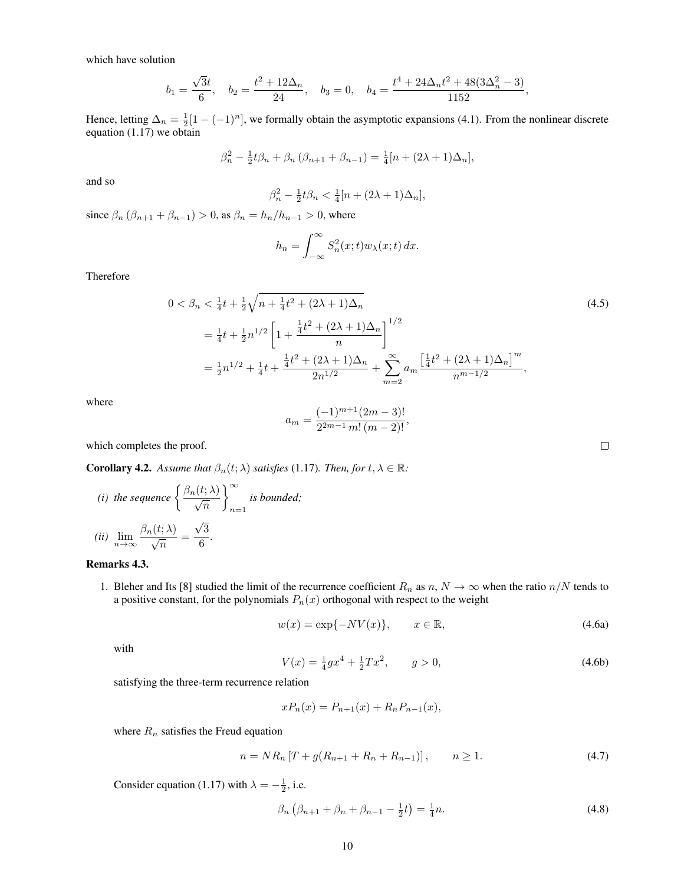which have solution

$$
b_1 = \frac{\sqrt{3}t}{6}
$$
,  $b_2 = \frac{t^2 + 12\Delta_n}{24}$ ,  $b_3 = 0$ ,  $b_4 = \frac{t^4 + 24\Delta_n t^2 + 48(3\Delta_n^2 - 3)}{1152}$ ,

Hence, letting  $\Delta_n = \frac{1}{2}[1 - (-1)^n]$ , we formally obtain the asymptotic expansions (4.1). From the nonlinear discrete equation (1.17) we obtain

$$
\beta_n^2 - \frac{1}{2}t\beta_n + \beta_n(\beta_{n+1} + \beta_{n-1}) = \frac{1}{4}[n + (2\lambda + 1)\Delta_n],
$$

and so

$$
\beta_n^2 - \frac{1}{2}t\beta_n < \frac{1}{4}[n + (2\lambda + 1)\Delta_n],
$$

since  $\beta_n (\beta_{n+1} + \beta_{n-1}) > 0$ , as  $\beta_n = h_n / h_{n-1} > 0$ , where

$$
h_n = \int_{-\infty}^{\infty} S_n^2(x; t) w_\lambda(x; t) \, dx.
$$

Therefore

$$
0 < \beta_n < \frac{1}{4}t + \frac{1}{2}\sqrt{n + \frac{1}{4}t^2 + (2\lambda + 1)\Delta_n}
$$
\n
$$
= \frac{1}{4}t + \frac{1}{2}n^{1/2} \left[1 + \frac{\frac{1}{4}t^2 + (2\lambda + 1)\Delta_n}{n}\right]^{1/2}
$$
\n
$$
= \frac{1}{2}n^{1/2} + \frac{1}{4}t + \frac{\frac{1}{4}t^2 + (2\lambda + 1)\Delta_n}{2n^{1/2}} + \sum_{m=2}^{\infty} a_m \frac{\left[\frac{1}{4}t^2 + (2\lambda + 1)\Delta_n\right]^m}{n^{m-1/2}},
$$
\n
$$
(4.5)
$$

where

$$
a_m = \frac{(-1)^{m+1}(2m-3)!}{2^{2m-1} m! (m-2)!},
$$

which completes the proof.

**Corollary 4.2.** *Assume that*  $\beta_n(t; \lambda)$  *satisfies* (1.17)*. Then, for*  $t, \lambda \in \mathbb{R}$ *:* 

(i) the sequence 
$$
\left\{\frac{\beta_n(t;\lambda)}{\sqrt{n}}\right\}_{n=1}^{\infty}
$$
 is bounded;  
(ii)  $\lim_{n\to\infty} \frac{\beta_n(t;\lambda)}{\sqrt{n}} = \frac{\sqrt{3}}{6}.$ 

#### Remarks 4.3.

1. Bleher and Its [8] studied the limit of the recurrence coefficient  $R_n$  as  $n, N \to \infty$  when the ratio  $n/N$  tends to a positive constant, for the polynomials  $P_n(x)$  orthogonal with respect to the weight

$$
w(x) = \exp\{-NV(x)\}, \qquad x \in \mathbb{R}, \tag{4.6a}
$$

 $\Box$ 

with

$$
V(x) = \frac{1}{4}gx^4 + \frac{1}{2}Tx^2, \qquad g > 0,
$$
\n(4.6b)

satisfying the three-term recurrence relation

$$
xP_n(x) = P_{n+1}(x) + R_n P_{n-1}(x),
$$

where  $R_n$  satisfies the Freud equation

$$
n = NR_n \left[ T + g(R_{n+1} + R_n + R_{n-1}) \right], \qquad n \ge 1. \tag{4.7}
$$

Consider equation (1.17) with  $\lambda = -\frac{1}{2}$ , i.e.

$$
\beta_n \left( \beta_{n+1} + \beta_n + \beta_{n-1} - \frac{1}{2} t \right) = \frac{1}{4} n. \tag{4.8}
$$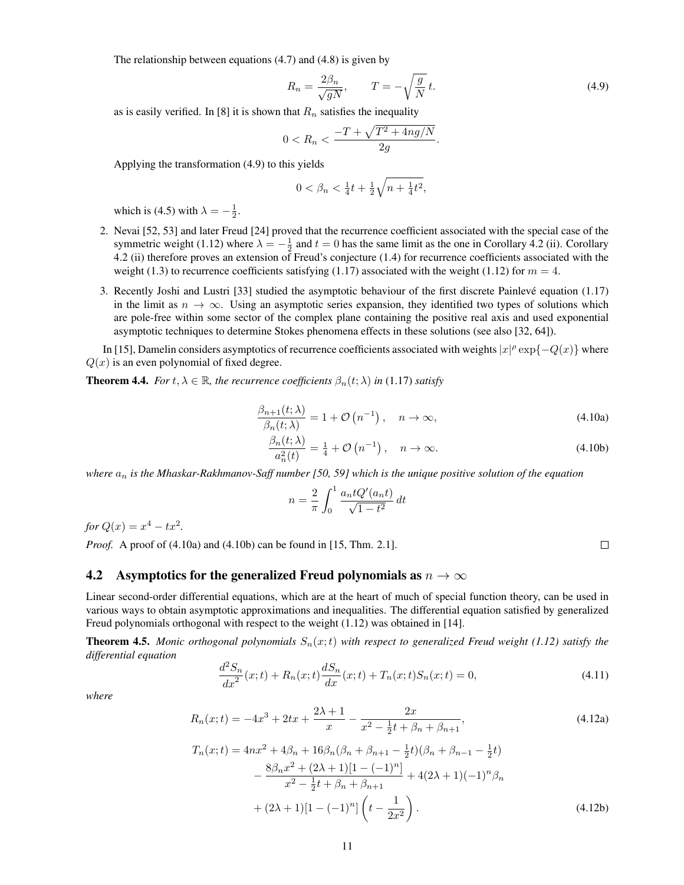The relationship between equations (4.7) and (4.8) is given by

$$
R_n = \frac{2\beta_n}{\sqrt{gN}}, \qquad T = -\sqrt{\frac{g}{N}}t. \tag{4.9}
$$

as is easily verified. In [8] it is shown that  $R_n$  satisfies the inequality

$$
0 < R_n < \frac{-T + \sqrt{T^2 + 4ng/N}}{2g}.
$$

Applying the transformation (4.9) to this yields

$$
0 < \beta_n < \tfrac{1}{4}t + \tfrac{1}{2}\sqrt{n+\tfrac{1}{4}t^2},
$$

which is (4.5) with  $\lambda = -\frac{1}{2}$ .

- 2. Nevai [52, 53] and later Freud [24] proved that the recurrence coefficient associated with the special case of the symmetric weight (1.12) where  $\lambda = -\frac{1}{2}$  and  $t = 0$  has the same limit as the one in Corollary 4.2 (ii). Corollary 4.2 (ii) therefore proves an extension of Freud's conjecture (1.4) for recurrence coefficients associated with the weight (1.3) to recurrence coefficients satisfying (1.17) associated with the weight (1.12) for  $m = 4$ .
- 3. Recently Joshi and Lustri [33] studied the asymptotic behaviour of the first discrete Painleve equation (1.17) ´ in the limit as  $n \to \infty$ . Using an asymptotic series expansion, they identified two types of solutions which are pole-free within some sector of the complex plane containing the positive real axis and used exponential asymptotic techniques to determine Stokes phenomena effects in these solutions (see also [32, 64]).

In [15], Damelin considers asymptotics of recurrence coefficients associated with weights  $|x|^{\rho} \exp\{-Q(x)\}\$  where  $Q(x)$  is an even polynomial of fixed degree.

**Theorem 4.4.** *For*  $t, \lambda \in \mathbb{R}$ *, the recurrence coefficients*  $\beta_n(t; \lambda)$  *in* (1.17) *satisfy* 

$$
\frac{\beta_{n+1}(t;\lambda)}{\beta_n(t;\lambda)} = 1 + \mathcal{O}\left(n^{-1}\right), \quad n \to \infty,
$$
\n(4.10a)

$$
\frac{\beta_n(t;\lambda)}{a_n^2(t)} = \frac{1}{4} + \mathcal{O}\left(n^{-1}\right), \quad n \to \infty.
$$
\n(4.10b)

*where*  $a_n$  *is the Mhaskar-Rakhmanov-Saff number* [50, 59] which is the unique positive solution of the equation

$$
n = \frac{2}{\pi} \int_0^1 \frac{a_n t Q'(a_n t)}{\sqrt{1 - t^2}} dt
$$

*for*  $Q(x) = x^4 - tx^2$ .

*Proof.* A proof of (4.10a) and (4.10b) can be found in [15, Thm. 2.1].

#### 4.2 Asymptotics for the generalized Freud polynomials as  $n \to \infty$

Linear second-order differential equations, which are at the heart of much of special function theory, can be used in various ways to obtain asymptotic approximations and inequalities. The differential equation satisfied by generalized Freud polynomials orthogonal with respect to the weight (1.12) was obtained in [14].

**Theorem 4.5.** *Monic orthogonal polynomials*  $S_n(x;t)$  *with respect to generalized Freud weight (1.12) satisfy the differential equation*

$$
\frac{d^2S_n}{dx^2}(x;t) + R_n(x;t)\frac{dS_n}{dx}(x;t) + T_n(x;t)S_n(x;t) = 0,
$$
\n(4.11)

*where*

$$
R_n(x;t) = -4x^3 + 2tx + \frac{2\lambda + 1}{x} - \frac{2x}{x^2 - \frac{1}{2}t + \beta_n + \beta_{n+1}},
$$
\n(4.12a)

$$
T_n(x;t) = 4nx^2 + 4\beta_n + 16\beta_n(\beta_n + \beta_{n+1} - \frac{1}{2}t)(\beta_n + \beta_{n-1} - \frac{1}{2}t)
$$
  

$$
- \frac{8\beta_n x^2 + (2\lambda + 1)[1 - (-1)^n]}{x^2 - \frac{1}{2}t + \beta_n + \beta_{n+1}} + 4(2\lambda + 1)(-1)^n \beta_n
$$
  

$$
+ (2\lambda + 1)[1 - (-1)^n] \left(t - \frac{1}{2x^2}\right).
$$
 (4.12b)

 $\Box$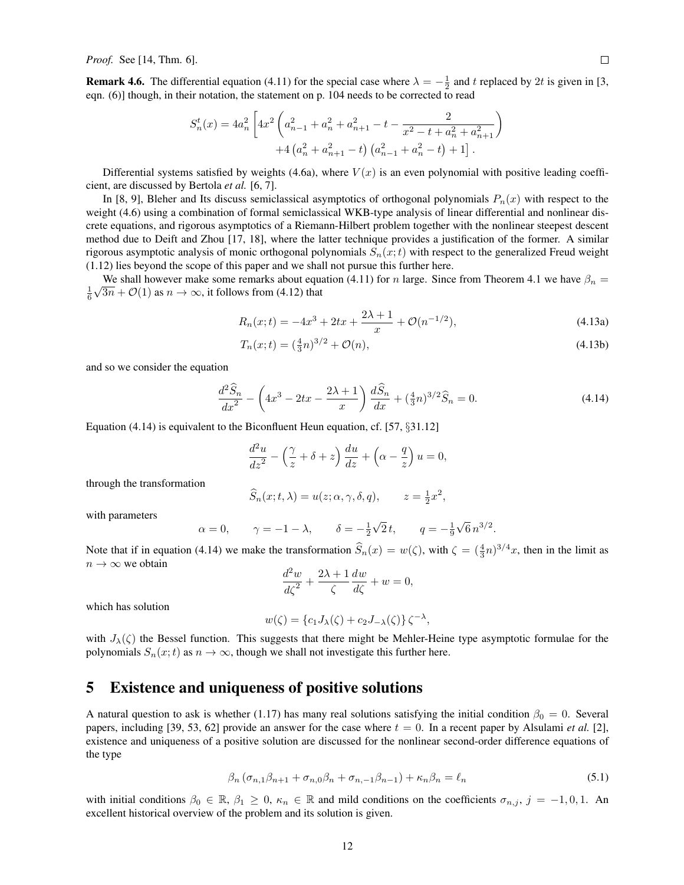*Proof.* See [14, Thm. 6].

**Remark 4.6.** The differential equation (4.11) for the special case where  $\lambda = -\frac{1}{2}$  and t replaced by 2t is given in [3, eqn. (6)] though, in their notation, the statement on p. 104 needs to be corrected to read

$$
S_n^t(x) = 4a_n^2 \left[ 4x^2 \left( a_{n-1}^2 + a_n^2 + a_{n+1}^2 - t - \frac{2}{x^2 - t + a_n^2 + a_{n+1}^2} \right) + 4 \left( a_n^2 + a_{n+1}^2 - t \right) \left( a_{n-1}^2 + a_n^2 - t \right) + 1 \right].
$$

Differential systems satisfied by weights (4.6a), where  $V(x)$  is an even polynomial with positive leading coefficient, are discussed by Bertola *et al.* [6, 7].

In [8, 9], Bleher and Its discuss semiclassical asymptotics of orthogonal polynomials  $P_n(x)$  with respect to the weight (4.6) using a combination of formal semiclassical WKB-type analysis of linear differential and nonlinear discrete equations, and rigorous asymptotics of a Riemann-Hilbert problem together with the nonlinear steepest descent method due to Deift and Zhou [17, 18], where the latter technique provides a justification of the former. A similar rigorous asymptotic analysis of monic orthogonal polynomials  $S_n(x;t)$  with respect to the generalized Freud weight (1.12) lies beyond the scope of this paper and we shall not pursue this further here.

We shall however make some remarks about equation (4.11) for n large. Since from Theorem 4.1 we have  $\beta_n =$  $\frac{1}{6}\sqrt{3n} + \mathcal{O}(1)$  as  $n \to \infty$ , it follows from (4.12) that

$$
R_n(x;t) = -4x^3 + 2tx + \frac{2\lambda + 1}{x} + \mathcal{O}(n^{-1/2}),\tag{4.13a}
$$

$$
T_n(x;t) = \left(\frac{4}{3}n\right)^{3/2} + \mathcal{O}(n),\tag{4.13b}
$$

and so we consider the equation

$$
\frac{d^2\widehat{S}_n}{dx^2} - \left(4x^3 - 2tx - \frac{2\lambda + 1}{x}\right)\frac{d\widehat{S}_n}{dx} + \left(\frac{4}{3}n\right)^{3/2}\widehat{S}_n = 0.
$$
\n(4.14)

Equation (4.14) is equivalent to the Biconfluent Heun equation, cf. [57,  $\S 31.12$ ]

$$
\frac{d^2u}{dz^2} - \left(\frac{\gamma}{z} + \delta + z\right)\frac{du}{dz} + \left(\alpha - \frac{q}{z}\right)u = 0,
$$

through the transformation

$$
\widehat{S}_n(x;t,\lambda) = u(z;\alpha,\gamma,\delta,q), \qquad z = \frac{1}{2}x^2,
$$

with parameters

$$
\alpha = 0
$$
,  $\gamma = -1 - \lambda$ ,  $\delta = -\frac{1}{2}\sqrt{2}t$ ,  $q = -\frac{1}{9}\sqrt{6}n^{3/2}$ .

Note that if in equation (4.14) we make the transformation  $\hat{S}_n(x) = w(\zeta)$ , with  $\zeta = (\frac{4}{3}n)^{3/4}x$ , then in the limit as  $n \to \infty$  we obtain

$$
\frac{d^2w}{d\zeta^2} + \frac{2\lambda + 1}{\zeta} \frac{dw}{d\zeta} + w = 0,
$$

which has solution

$$
w(\zeta) = \{c_1 J_\lambda(\zeta) + c_2 J_{-\lambda}(\zeta)\}\zeta^{-\lambda},
$$

with  $J_{\lambda}(\zeta)$  the Bessel function. This suggests that there might be Mehler-Heine type asymptotic formulae for the polynomials  $S_n(x;t)$  as  $n \to \infty$ , though we shall not investigate this further here.

#### 5 Existence and uniqueness of positive solutions

A natural question to ask is whether (1.17) has many real solutions satisfying the initial condition  $\beta_0 = 0$ . Several papers, including [39, 53, 62] provide an answer for the case where  $t = 0$ . In a recent paper by Alsulami *et al.* [2], existence and uniqueness of a positive solution are discussed for the nonlinear second-order difference equations of the type

$$
\beta_n \left( \sigma_{n,1} \beta_{n+1} + \sigma_{n,0} \beta_n + \sigma_{n,-1} \beta_{n-1} \right) + \kappa_n \beta_n = \ell_n \tag{5.1}
$$

with initial conditions  $\beta_0 \in \mathbb{R}$ ,  $\beta_1 \geq 0$ ,  $\kappa_n \in \mathbb{R}$  and mild conditions on the coefficients  $\sigma_{n,j}$ ,  $j = -1,0,1$ . An excellent historical overview of the problem and its solution is given.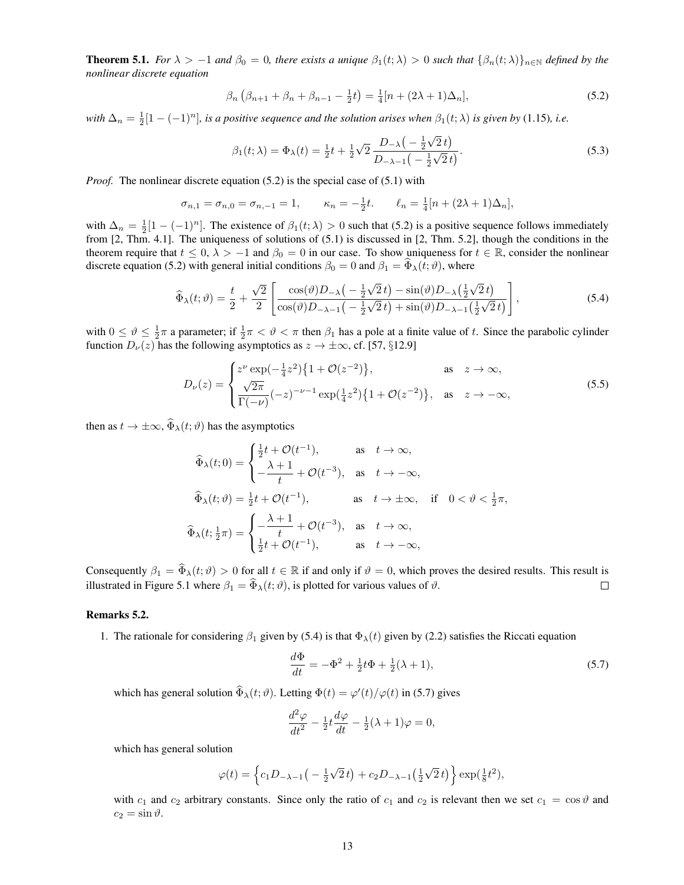**Theorem 5.1.** *For*  $\lambda > -1$  *and*  $\beta_0 = 0$ *, there exists a unique*  $\beta_1(t; \lambda) > 0$  *such that*  $\{\beta_n(t; \lambda)\}_{n \in \mathbb{N}}$  *defined by the nonlinear discrete equation*

$$
\beta_n \left( \beta_{n+1} + \beta_n + \beta_{n-1} - \frac{1}{2} t \right) = \frac{1}{4} [n + (2\lambda + 1)\Delta_n], \tag{5.2}
$$

with  $\Delta_n = \frac{1}{2}[1 - (-1)^n]$ *, is a positive sequence and the solution arises when*  $\beta_1(t; \lambda)$  *is given by* (1.15)*, i.e.* 

$$
\beta_1(t; \lambda) = \Phi_{\lambda}(t) = \frac{1}{2}t + \frac{1}{2}\sqrt{2} \frac{D_{-\lambda}\left(-\frac{1}{2}\sqrt{2}t\right)}{D_{-\lambda-1}\left(-\frac{1}{2}\sqrt{2}t\right)}.
$$
\n(5.3)

*Proof.* The nonlinear discrete equation (5.2) is the special case of (5.1) with

$$
\sigma_{n,1} = \sigma_{n,0} = \sigma_{n,-1} = 1, \qquad \kappa_n = -\frac{1}{2}t. \qquad \ell_n = \frac{1}{4}[n + (2\lambda + 1)\Delta_n],
$$

with  $\Delta_n = \frac{1}{2}[1 - (-1)^n]$ . The existence of  $\beta_1(t; \lambda) > 0$  such that (5.2) is a positive sequence follows immediately from [2, Thm. 4.1]. The uniqueness of solutions of (5.1) is discussed in [2, Thm. 5.2], though the conditions in the theorem require that  $t \leq 0$ ,  $\lambda > -1$  and  $\beta_0 = 0$  in our case. To show uniqueness for  $t \in \mathbb{R}$ , consider the nonlinear discrete equation (5.2) with general initial conditions  $\beta_0 = 0$  and  $\beta_1 = \Phi_{\lambda}(t; \theta)$ , where

$$
\widehat{\Phi}_{\lambda}(t;\vartheta) = \frac{t}{2} + \frac{\sqrt{2}}{2} \left[ \frac{\cos(\vartheta)D_{-\lambda}\left(-\frac{1}{2}\sqrt{2}t\right) - \sin(\vartheta)D_{-\lambda}\left(\frac{1}{2}\sqrt{2}t\right)}{\cos(\vartheta)D_{-\lambda-1}\left(-\frac{1}{2}\sqrt{2}t\right) + \sin(\vartheta)D_{-\lambda-1}\left(\frac{1}{2}\sqrt{2}t\right)} \right],\tag{5.4}
$$

with  $0 \le \vartheta \le \frac{1}{2}\pi$  a parameter; if  $\frac{1}{2}\pi < \vartheta < \pi$  then  $\beta_1$  has a pole at a finite value of t. Since the parabolic cylinder function  $D_{\nu}(z)$  has the following asymptotics as  $z \to \pm \infty$ , cf. [57, §12.9]

$$
D_{\nu}(z) = \begin{cases} z^{\nu} \exp(-\frac{1}{4}z^{2}) \{1 + \mathcal{O}(z^{-2})\}, & \text{as } z \to \infty, \\ \frac{\sqrt{2\pi}}{\Gamma(-\nu)} (-z)^{-\nu - 1} \exp(\frac{1}{4}z^{2}) \{1 + \mathcal{O}(z^{-2})\}, & \text{as } z \to -\infty, \end{cases}
$$
(5.5)

then as  $t \to \pm \infty$ ,  $\widehat{\Phi}_{\lambda}(t; \vartheta)$  has the asymptotics

$$
\widehat{\Phi}_{\lambda}(t;0) = \begin{cases}\n\frac{1}{2}t + \mathcal{O}(t^{-1}), & \text{as } t \to \infty, \\
-\frac{\lambda + 1}{t} + \mathcal{O}(t^{-3}), & \text{as } t \to -\infty,\n\end{cases}
$$
\n
$$
\widehat{\Phi}_{\lambda}(t;\vartheta) = \frac{1}{2}t + \mathcal{O}(t^{-1}), \qquad \text{as } t \to \pm \infty, \text{ if } 0 < \vartheta < \frac{1}{2}\pi,
$$
\n
$$
\widehat{\Phi}_{\lambda}(t;\frac{1}{2}\pi) = \begin{cases}\n-\frac{\lambda + 1}{t} + \mathcal{O}(t^{-3}), & \text{as } t \to \infty, \\
\frac{1}{2}t + \mathcal{O}(t^{-1}), & \text{as } t \to -\infty,\n\end{cases}
$$

Consequently  $\beta_1 = \hat{\Phi}_{\lambda}(t; \vartheta) > 0$  for all  $t \in \mathbb{R}$  if and only if  $\vartheta = 0$ , which proves the desired results. This result is illustrated in Figure 5.1 where  $\beta_1 = \hat{\Phi}_{\lambda}(t; \vartheta)$ , is plotted for various values of illustrated in Figure 5.1 where  $\beta_1 = \widehat{\Phi}_{\lambda}(t; \vartheta)$ , is plotted for various values of  $\vartheta$ .

#### Remarks 5.2.

1. The rationale for considering  $\beta_1$  given by (5.4) is that  $\Phi_{\lambda}(t)$  given by (2.2) satisfies the Riccati equation

$$
\frac{d\Phi}{dt} = -\Phi^2 + \frac{1}{2}t\Phi + \frac{1}{2}(\lambda + 1),\tag{5.7}
$$

which has general solution  $\hat{\Phi}_{\lambda}(t; \vartheta)$ . Letting  $\Phi(t) = \varphi'(t)/\varphi(t)$  in (5.7) gives

$$
\frac{d^2\varphi}{dt^2} - \frac{1}{2}t\frac{d\varphi}{dt} - \frac{1}{2}(\lambda + 1)\varphi = 0,
$$

which has general solution

$$
\varphi(t) = \left\{c_1 D_{-\lambda-1}\left(-\frac{1}{2}\sqrt{2}t\right) + c_2 D_{-\lambda-1}\left(\frac{1}{2}\sqrt{2}t\right)\right\} \exp\left(\frac{1}{8}t^2\right),\,
$$

with  $c_1$  and  $c_2$  arbitrary constants. Since only the ratio of  $c_1$  and  $c_2$  is relevant then we set  $c_1 = \cos \theta$  and  $c_2 = \sin \vartheta$ .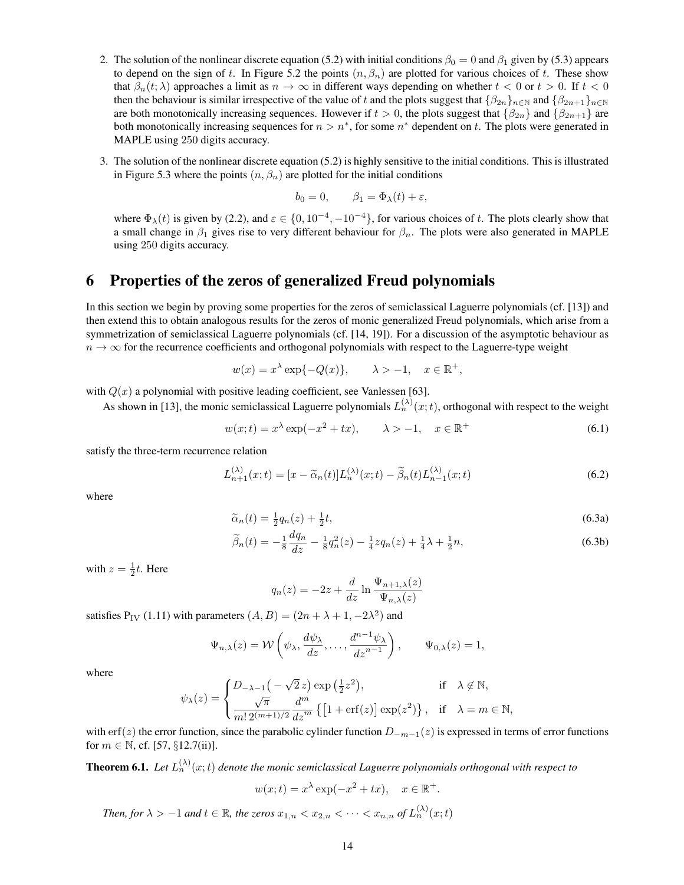- 2. The solution of the nonlinear discrete equation (5.2) with initial conditions  $\beta_0 = 0$  and  $\beta_1$  given by (5.3) appears to depend on the sign of t. In Figure 5.2 the points  $(n, \beta_n)$  are plotted for various choices of t. These show that  $\beta_n(t; \lambda)$  approaches a limit as  $n \to \infty$  in different ways depending on whether  $t < 0$  or  $t > 0$ . If  $t < 0$ then the behaviour is similar irrespective of the value of t and the plots suggest that  $\{\beta_{2n}\}_{n\in\mathbb{N}}$  and  $\{\beta_{2n+1}\}_{n\in\mathbb{N}}$ are both monotonically increasing sequences. However if  $t > 0$ , the plots suggest that  $\{\beta_{2n}\}\$  and  $\{\beta_{2n+1}\}\$  are both monotonically increasing sequences for  $n > n^*$ , for some  $n^*$  dependent on t. The plots were generated in MAPLE using 250 digits accuracy.
- 3. The solution of the nonlinear discrete equation (5.2) is highly sensitive to the initial conditions. This is illustrated in Figure 5.3 where the points  $(n, \beta_n)$  are plotted for the initial conditions

$$
b_0 = 0, \qquad \beta_1 = \Phi_\lambda(t) + \varepsilon,
$$

where  $\Phi_{\lambda}(t)$  is given by (2.2), and  $\varepsilon \in \{0, 10^{-4}, -10^{-4}\}$ , for various choices of t. The plots clearly show that a small change in  $\beta_1$  gives rise to very different behaviour for  $\beta_n$ . The plots were also generated in MAPLE using 250 digits accuracy.

#### 6 Properties of the zeros of generalized Freud polynomials

In this section we begin by proving some properties for the zeros of semiclassical Laguerre polynomials (cf. [13]) and then extend this to obtain analogous results for the zeros of monic generalized Freud polynomials, which arise from a symmetrization of semiclassical Laguerre polynomials (cf. [14, 19]). For a discussion of the asymptotic behaviour as  $n \to \infty$  for the recurrence coefficients and orthogonal polynomials with respect to the Laguerre-type weight

$$
w(x) = x^{\lambda} \exp\{-Q(x)\}, \qquad \lambda > -1, \quad x \in \mathbb{R}^+,
$$

with  $Q(x)$  a polynomial with positive leading coefficient, see Vanlessen [63].

As shown in [13], the monic semiclassical Laguerre polynomials  $L_n^{(\lambda)}(x;t)$ , orthogonal with respect to the weight

$$
w(x;t) = x^{\lambda} \exp(-x^2 + tx), \qquad \lambda > -1, \quad x \in \mathbb{R}^+ \tag{6.1}
$$

satisfy the three-term recurrence relation

$$
L_{n+1}^{(\lambda)}(x;t) = [x - \widetilde{\alpha}_n(t)]L_n^{(\lambda)}(x;t) - \widetilde{\beta}_n(t)L_{n-1}^{(\lambda)}(x;t)
$$
\n(6.2)

where

$$
\widetilde{\alpha}_n(t) = \frac{1}{2}q_n(z) + \frac{1}{2}t,\tag{6.3a}
$$

$$
\widetilde{\beta}_n(t) = -\frac{1}{8} \frac{dq_n}{dz} - \frac{1}{8} q_n^2(z) - \frac{1}{4} z q_n(z) + \frac{1}{4} \lambda + \frac{1}{2} n,\tag{6.3b}
$$

with  $z = \frac{1}{2}t$ . Here

$$
q_n(z) = -2z + \frac{d}{dz} \ln \frac{\Psi_{n+1,\lambda}(z)}{\Psi_{n,\lambda}(z)}
$$

satisfies  $P_{IV}$  (1.11) with parameters  $(A, B) = (2n + \lambda + 1, -2\lambda^2)$  and

$$
\Psi_{n,\lambda}(z) = \mathcal{W}\left(\psi_{\lambda}, \frac{d\psi_{\lambda}}{dz}, \dots, \frac{d^{n-1}\psi_{\lambda}}{dz^{n-1}}\right), \qquad \Psi_{0,\lambda}(z) = 1,
$$

where

$$
\psi_{\lambda}(z) = \begin{cases} D_{-\lambda-1}\big(-\sqrt{2}\,z\big)\exp\big(\frac{1}{2}z^2\big), & \text{if} \quad \lambda \not\in \mathbb{N}, \\ \frac{\sqrt{\pi}}{m!\,2^{(m+1)/2}}\frac{d^m}{dz^m}\left\{\big[1+\text{erf}(z)\big]\exp(z^2)\right\}, & \text{if} \quad \lambda = m \in \mathbb{N}, \end{cases}
$$

with erf(z) the error function, since the parabolic cylinder function  $D_{-m-1}(z)$  is expressed in terms of error functions for  $m \in \mathbb{N}$ , cf. [57, §12.7(ii)].

**Theorem 6.1.** Let  $L_n^{(\lambda)}(x;t)$  denote the monic semiclassical Laguerre polynomials orthogonal with respect to

$$
w(x;t) = x^{\lambda} \exp(-x^2 + tx), \quad x \in \mathbb{R}^+.
$$

*Then, for*  $\lambda > -1$  *and*  $t \in \mathbb{R}$ *, the zeros*  $x_{1,n} < x_{2,n} < \cdots < x_{n,n}$  of  $L_n^{(\lambda)}(x;t)$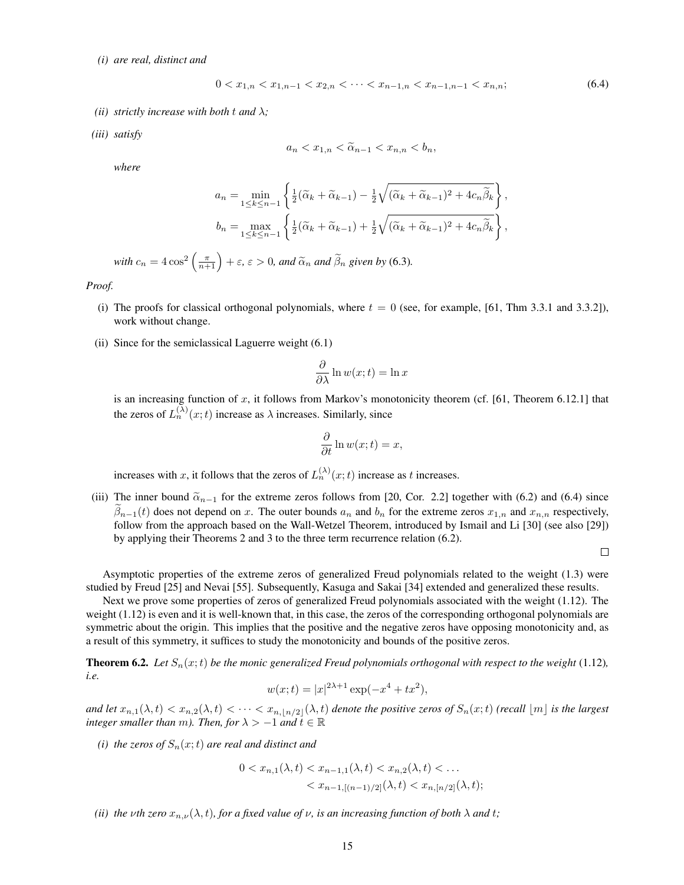*(i) are real, distinct and*

$$
0 < x_{1,n} < x_{1,n-1} < x_{2,n} < \dots < x_{n-1,n} < x_{n-1,n-1} < x_{n,n};\tag{6.4}
$$

- *(ii)* strictly increase with both t and  $\lambda$ ;
- *(iii) satisfy*

$$
a_n < x_{1,n} < \widetilde{\alpha}_{n-1} < x_{n,n} < b_n,
$$

*where*

$$
a_n = \min_{1 \le k \le n-1} \left\{ \frac{1}{2} (\widetilde{\alpha}_k + \widetilde{\alpha}_{k-1}) - \frac{1}{2} \sqrt{(\widetilde{\alpha}_k + \widetilde{\alpha}_{k-1})^2 + 4c_n \widetilde{\beta}_k} \right\},
$$
  

$$
b_n = \max_{1 \le k \le n-1} \left\{ \frac{1}{2} (\widetilde{\alpha}_k + \widetilde{\alpha}_{k-1}) + \frac{1}{2} \sqrt{(\widetilde{\alpha}_k + \widetilde{\alpha}_{k-1})^2 + 4c_n \widetilde{\beta}_k} \right\},
$$

with  $c_n = 4 \cos^2 \left( \frac{\pi}{n+1} \right) + \varepsilon$ ,  $\varepsilon > 0$ , and  $\widetilde{\alpha}_n$  and  $\widetilde{\beta}_n$  given by (6.3).

*Proof.*

- (i) The proofs for classical orthogonal polynomials, where  $t = 0$  (see, for example, [61, Thm 3.3.1 and 3.3.2]), work without change.
- (ii) Since for the semiclassical Laguerre weight (6.1)

$$
\frac{\partial}{\partial \lambda} \ln w(x;t) = \ln x
$$

is an increasing function of  $x$ , it follows from Markov's monotonicity theorem (cf. [61, Theorem 6.12.1] that the zeros of  $L_n^{(\lambda)}(x;t)$  increase as  $\lambda$  increases. Similarly, since

$$
\frac{\partial}{\partial t} \ln w(x;t) = x,
$$

increases with x, it follows that the zeros of  $L_n^{(\lambda)}(x;t)$  increase as t increases.

(iii) The inner bound  $\tilde{\alpha}_{n-1}$  for the extreme zeros follows from [20, Cor. 2.2] together with (6.2) and (6.4) since  $\beta_{n-1}(t)$  does not depend on x. The outer bounds  $a_n$  and  $b_n$  for the extreme zeros  $x_{1,n}$  and  $x_{n,n}$  respectively, follow from the approach based on the Wall-Wetzel Theorem, introduced by Ismail and Li [30] (see also [29]) by applying their Theorems 2 and 3 to the three term recurrence relation (6.2).

 $\Box$ 

Asymptotic properties of the extreme zeros of generalized Freud polynomials related to the weight (1.3) were studied by Freud [25] and Nevai [55]. Subsequently, Kasuga and Sakai [34] extended and generalized these results.

Next we prove some properties of zeros of generalized Freud polynomials associated with the weight (1.12). The weight (1.12) is even and it is well-known that, in this case, the zeros of the corresponding orthogonal polynomials are symmetric about the origin. This implies that the positive and the negative zeros have opposing monotonicity and, as a result of this symmetry, it suffices to study the monotonicity and bounds of the positive zeros.

**Theorem 6.2.** Let  $S_n(x;t)$  be the monic generalized Freud polynomials orthogonal with respect to the weight (1.12), *i.e.*

$$
w(x;t) = |x|^{2\lambda + 1} \exp(-x^4 + tx^2),
$$

*and let*  $x_{n,1}(\lambda, t) < x_{n,2}(\lambda, t) < \cdots < x_{n, \lfloor n/2 \rfloor}(\lambda, t)$  *denote the positive zeros of*  $S_n(x, t)$  *(recall*  $\lfloor m \rfloor$  *is the largest integer smaller than* m*). Then, for*  $\lambda > -1$  *and*  $t \in \mathbb{R}$ 

*(i) the zeros of*  $S_n(x;t)$  *are real and distinct and* 

$$
0 < x_{n,1}(\lambda, t) < x_{n-1,1}(\lambda, t) < x_{n,2}(\lambda, t) < \dots \\
&< x_{n-1,[(n-1)/2]}(\lambda, t) < x_{n,[n/2]}(\lambda, t);
$$

*(ii) the vth zero*  $x_{n,\nu}(\lambda, t)$ *, for a fixed value of*  $\nu$ *, is an increasing function of both*  $\lambda$  *and*  $t$ *;*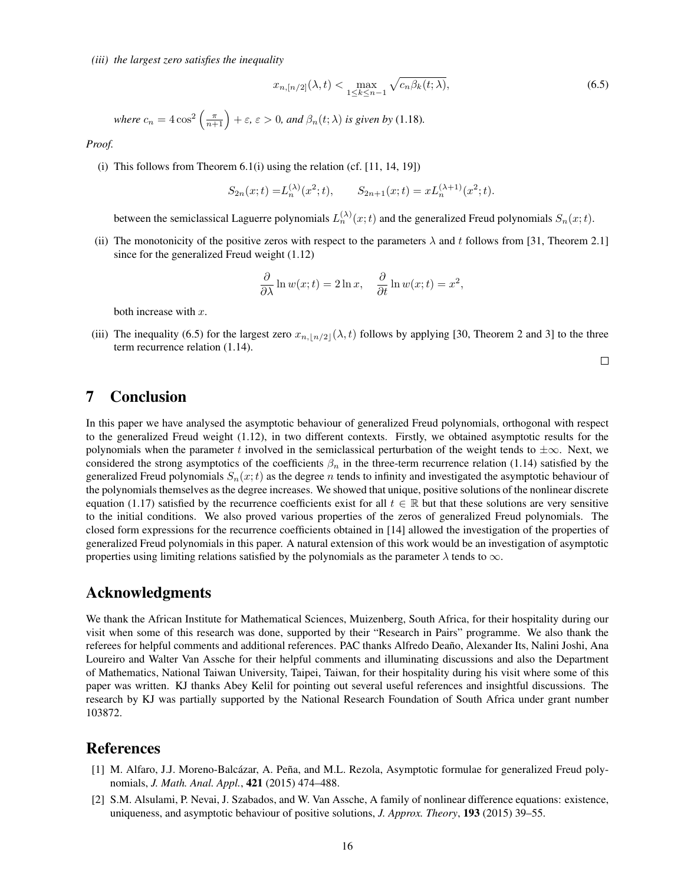*(iii) the largest zero satisfies the inequality*

$$
x_{n,[n/2]}(\lambda,t) < \max_{1 \le k \le n-1} \sqrt{c_n \beta_k(t;\lambda)},\tag{6.5}
$$

where  $c_n = 4\cos^2\left(\frac{\pi}{n+1}\right) + \varepsilon$ ,  $\varepsilon > 0$ , and  $\beta_n(t; \lambda)$  is given by (1.18).

*Proof.*

(i) This follows from Theorem  $6.1(i)$  using the relation (cf.  $[11, 14, 19]$ )

$$
S_{2n}(x;t) = L_n^{(\lambda)}(x^2;t), \qquad S_{2n+1}(x;t) = xL_n^{(\lambda+1)}(x^2;t).
$$

between the semiclassical Laguerre polynomials  $L_n^{(\lambda)}(x;t)$  and the generalized Freud polynomials  $S_n(x;t)$ .

(ii) The monotonicity of the positive zeros with respect to the parameters  $\lambda$  and t follows from [31, Theorem 2.1] since for the generalized Freud weight (1.12)

$$
\frac{\partial}{\partial \lambda} \ln w(x;t) = 2 \ln x, \quad \frac{\partial}{\partial t} \ln w(x;t) = x^2,
$$

both increase with  $x$ .

(iii) The inequality (6.5) for the largest zero  $x_{n, |n/2|}(\lambda, t)$  follows by applying [30, Theorem 2 and 3] to the three term recurrence relation (1.14).

 $\Box$ 

#### 7 Conclusion

In this paper we have analysed the asymptotic behaviour of generalized Freud polynomials, orthogonal with respect to the generalized Freud weight (1.12), in two different contexts. Firstly, we obtained asymptotic results for the polynomials when the parameter t involved in the semiclassical perturbation of the weight tends to  $\pm\infty$ . Next, we considered the strong asymptotics of the coefficients  $\beta_n$  in the three-term recurrence relation (1.14) satisfied by the generalized Freud polynomials  $S_n(x;t)$  as the degree n tends to infinity and investigated the asymptotic behaviour of the polynomials themselves as the degree increases. We showed that unique, positive solutions of the nonlinear discrete equation (1.17) satisfied by the recurrence coefficients exist for all  $t \in \mathbb{R}$  but that these solutions are very sensitive to the initial conditions. We also proved various properties of the zeros of generalized Freud polynomials. The closed form expressions for the recurrence coefficients obtained in [14] allowed the investigation of the properties of generalized Freud polynomials in this paper. A natural extension of this work would be an investigation of asymptotic properties using limiting relations satisfied by the polynomials as the parameter  $\lambda$  tends to  $\infty$ .

#### Acknowledgments

We thank the African Institute for Mathematical Sciences, Muizenberg, South Africa, for their hospitality during our visit when some of this research was done, supported by their "Research in Pairs" programme. We also thank the referees for helpful comments and additional references. PAC thanks Alfredo Deaño, Alexander Its, Nalini Joshi, Ana Loureiro and Walter Van Assche for their helpful comments and illuminating discussions and also the Department of Mathematics, National Taiwan University, Taipei, Taiwan, for their hospitality during his visit where some of this paper was written. KJ thanks Abey Kelil for pointing out several useful references and insightful discussions. The research by KJ was partially supported by the National Research Foundation of South Africa under grant number 103872.

#### References

- [1] M. Alfaro, J.J. Moreno-Balcázar, A. Peña, and M.L. Rezola, Asymptotic formulae for generalized Freud polynomials, *J. Math. Anal. Appl.*, 421 (2015) 474–488.
- [2] S.M. Alsulami, P. Nevai, J. Szabados, and W. Van Assche, A family of nonlinear difference equations: existence, uniqueness, and asymptotic behaviour of positive solutions, *J. Approx. Theory*, 193 (2015) 39–55.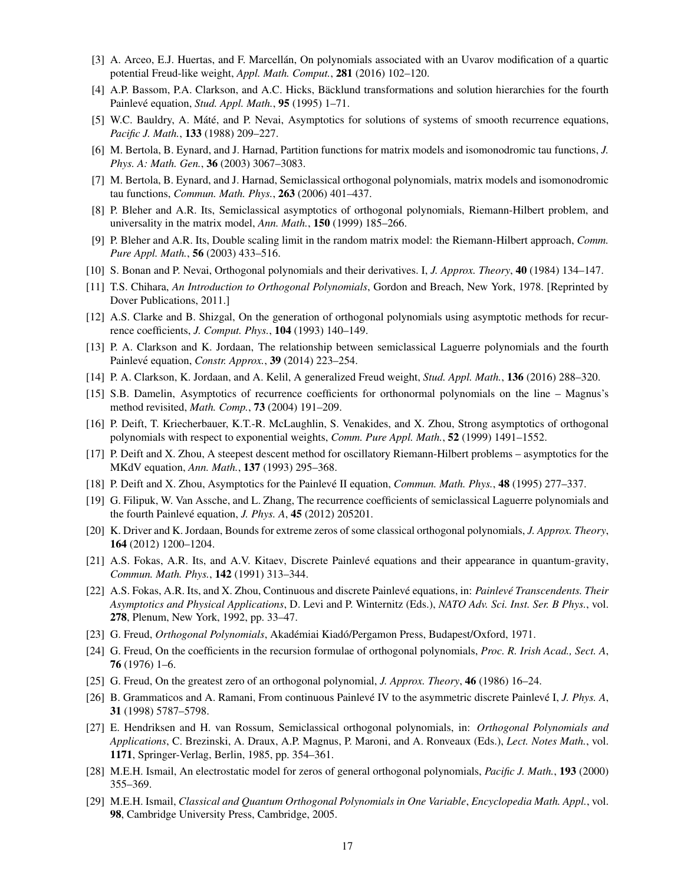- [3] A. Arceo, E.J. Huertas, and F. Marcellán, On polynomials associated with an Uvarov modification of a quartic potential Freud-like weight, *Appl. Math. Comput.*, 281 (2016) 102–120.
- [4] A.P. Bassom, P.A. Clarkson, and A.C. Hicks, Bäcklund transformations and solution hierarchies for the fourth Painlevé equation, *Stud. Appl. Math.*, 95 (1995) 1-71.
- [5] W.C. Bauldry, A. Máté, and P. Nevai, Asymptotics for solutions of systems of smooth recurrence equations, *Pacific J. Math.*, 133 (1988) 209–227.
- [6] M. Bertola, B. Eynard, and J. Harnad, Partition functions for matrix models and isomonodromic tau functions, *J. Phys. A: Math. Gen.*, 36 (2003) 3067–3083.
- [7] M. Bertola, B. Eynard, and J. Harnad, Semiclassical orthogonal polynomials, matrix models and isomonodromic tau functions, *Commun. Math. Phys.*, 263 (2006) 401–437.
- [8] P. Bleher and A.R. Its, Semiclassical asymptotics of orthogonal polynomials, Riemann-Hilbert problem, and universality in the matrix model, *Ann. Math.*, 150 (1999) 185–266.
- [9] P. Bleher and A.R. Its, Double scaling limit in the random matrix model: the Riemann-Hilbert approach, *Comm. Pure Appl. Math.*, 56 (2003) 433–516.
- [10] S. Bonan and P. Nevai, Orthogonal polynomials and their derivatives. I, *J. Approx. Theory*, 40 (1984) 134–147.
- [11] T.S. Chihara, *An Introduction to Orthogonal Polynomials*, Gordon and Breach, New York, 1978. [Reprinted by Dover Publications, 2011.]
- [12] A.S. Clarke and B. Shizgal, On the generation of orthogonal polynomials using asymptotic methods for recurrence coefficients, *J. Comput. Phys.*, 104 (1993) 140–149.
- [13] P. A. Clarkson and K. Jordaan, The relationship between semiclassical Laguerre polynomials and the fourth Painlevé equation, *Constr. Approx.*, **39** (2014) 223–254.
- [14] P. A. Clarkson, K. Jordaan, and A. Kelil, A generalized Freud weight, *Stud. Appl. Math.*, 136 (2016) 288–320.
- [15] S.B. Damelin, Asymptotics of recurrence coefficients for orthonormal polynomials on the line Magnus's method revisited, *Math. Comp.*, 73 (2004) 191–209.
- [16] P. Deift, T. Kriecherbauer, K.T.-R. McLaughlin, S. Venakides, and X. Zhou, Strong asymptotics of orthogonal polynomials with respect to exponential weights, *Comm. Pure Appl. Math.*, 52 (1999) 1491–1552.
- [17] P. Deift and X. Zhou, A steepest descent method for oscillatory Riemann-Hilbert problems asymptotics for the MKdV equation, *Ann. Math.*, 137 (1993) 295–368.
- [18] P. Deift and X. Zhou, Asymptotics for the Painleve II equation, ´ *Commun. Math. Phys.*, 48 (1995) 277–337.
- [19] G. Filipuk, W. Van Assche, and L. Zhang, The recurrence coefficients of semiclassical Laguerre polynomials and the fourth Painlevé equation, *J. Phys. A*, **45** (2012) 205201.
- [20] K. Driver and K. Jordaan, Bounds for extreme zeros of some classical orthogonal polynomials, *J. Approx. Theory*, 164 (2012) 1200–1204.
- [21] A.S. Fokas, A.R. Its, and A.V. Kitaev, Discrete Painlevé equations and their appearance in quantum-gravity, *Commun. Math. Phys.*, 142 (1991) 313–344.
- [22] A.S. Fokas, A.R. Its, and X. Zhou, Continuous and discrete Painleve equations, in: ´ *Painleve Transcendents. Their ´ Asymptotics and Physical Applications*, D. Levi and P. Winternitz (Eds.), *NATO Adv. Sci. Inst. Ser. B Phys.*, vol. 278, Plenum, New York, 1992, pp. 33–47.
- [23] G. Freud, *Orthogonal Polynomials*, Akadémiai Kiadó/Pergamon Press, Budapest/Oxford, 1971.
- [24] G. Freud, On the coefficients in the recursion formulae of orthogonal polynomials, *Proc. R. Irish Acad., Sect. A*, 76 (1976) 1–6.
- [25] G. Freud, On the greatest zero of an orthogonal polynomial, *J. Approx. Theory*, 46 (1986) 16–24.
- [26] B. Grammaticos and A. Ramani, From continuous Painlevé IV to the asymmetric discrete Painlevé I, *J. Phys. A*, 31 (1998) 5787–5798.
- [27] E. Hendriksen and H. van Rossum, Semiclassical orthogonal polynomials, in: *Orthogonal Polynomials and Applications*, C. Brezinski, A. Draux, A.P. Magnus, P. Maroni, and A. Ronveaux (Eds.), *Lect. Notes Math.*, vol. 1171, Springer-Verlag, Berlin, 1985, pp. 354–361.
- [28] M.E.H. Ismail, An electrostatic model for zeros of general orthogonal polynomials, *Pacific J. Math.*, 193 (2000) 355–369.
- [29] M.E.H. Ismail, *Classical and Quantum Orthogonal Polynomials in One Variable*, *Encyclopedia Math. Appl.*, vol. 98, Cambridge University Press, Cambridge, 2005.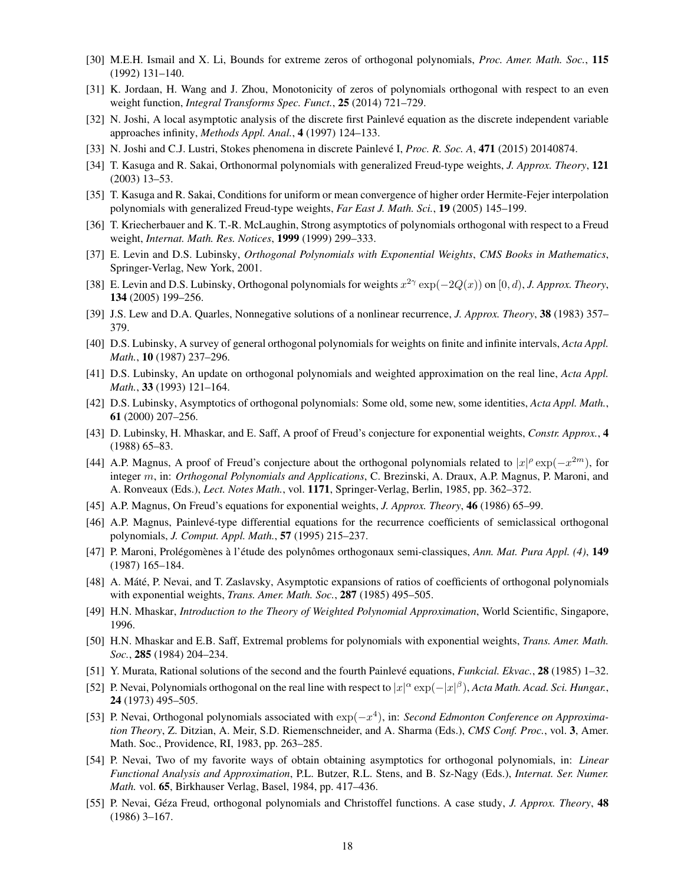- [30] M.E.H. Ismail and X. Li, Bounds for extreme zeros of orthogonal polynomials, *Proc. Amer. Math. Soc.*, 115 (1992) 131–140.
- [31] K. Jordaan, H. Wang and J. Zhou, Monotonicity of zeros of polynomials orthogonal with respect to an even weight function, *Integral Transforms Spec. Funct.*, 25 (2014) 721–729.
- [32] N. Joshi, A local asymptotic analysis of the discrete first Painlevé equation as the discrete independent variable approaches infinity, *Methods Appl. Anal.*, 4 (1997) 124–133.
- [33] N. Joshi and C.J. Lustri, Stokes phenomena in discrete Painlevé I, *Proc. R. Soc. A*, **471** (2015) 20140874.
- [34] T. Kasuga and R. Sakai, Orthonormal polynomials with generalized Freud-type weights, *J. Approx. Theory*, 121 (2003) 13–53.
- [35] T. Kasuga and R. Sakai, Conditions for uniform or mean convergence of higher order Hermite-Fejer interpolation polynomials with generalized Freud-type weights, *Far East J. Math. Sci.*, 19 (2005) 145–199.
- [36] T. Kriecherbauer and K. T.-R. McLaughin, Strong asymptotics of polynomials orthogonal with respect to a Freud weight, *Internat. Math. Res. Notices*, 1999 (1999) 299–333.
- [37] E. Levin and D.S. Lubinsky, *Orthogonal Polynomials with Exponential Weights*, *CMS Books in Mathematics*, Springer-Verlag, New York, 2001.
- [38] E. Levin and D.S. Lubinsky, Orthogonal polynomials for weights  $x^{2\gamma} \exp(-2Q(x))$  on  $[0, d)$ , *J. Approx. Theory*, 134 (2005) 199–256.
- [39] J.S. Lew and D.A. Quarles, Nonnegative solutions of a nonlinear recurrence, *J. Approx. Theory*, 38 (1983) 357– 379.
- [40] D.S. Lubinsky, A survey of general orthogonal polynomials for weights on finite and infinite intervals, *Acta Appl. Math.*, 10 (1987) 237–296.
- [41] D.S. Lubinsky, An update on orthogonal polynomials and weighted approximation on the real line, *Acta Appl. Math.*, 33 (1993) 121–164.
- [42] D.S. Lubinsky, Asymptotics of orthogonal polynomials: Some old, some new, some identities, *Acta Appl. Math.*, 61 (2000) 207–256.
- [43] D. Lubinsky, H. Mhaskar, and E. Saff, A proof of Freud's conjecture for exponential weights, *Constr. Approx.*, 4 (1988) 65–83.
- [44] A.P. Magnus, A proof of Freud's conjecture about the orthogonal polynomials related to  $|x|^{\rho} \exp(-x^{2m})$ , for integer m, in: *Orthogonal Polynomials and Applications*, C. Brezinski, A. Draux, A.P. Magnus, P. Maroni, and A. Ronveaux (Eds.), *Lect. Notes Math.*, vol. 1171, Springer-Verlag, Berlin, 1985, pp. 362–372.
- [45] A.P. Magnus, On Freud's equations for exponential weights, *J. Approx. Theory*, 46 (1986) 65–99.
- [46] A.P. Magnus, Painlevé-type differential equations for the recurrence coefficients of semiclassical orthogonal polynomials, *J. Comput. Appl. Math.*, 57 (1995) 215–237.
- [47] P. Maroni, Prolégomènes à l'étude des polynômes orthogonaux semi-classiques, Ann. Mat. Pura Appl. (4), 149 (1987) 165–184.
- [48] A. Máté, P. Nevai, and T. Zaslavsky, Asymptotic expansions of ratios of coefficients of orthogonal polynomials with exponential weights, *Trans. Amer. Math. Soc.*, 287 (1985) 495–505.
- [49] H.N. Mhaskar, *Introduction to the Theory of Weighted Polynomial Approximation*, World Scientific, Singapore, 1996.
- [50] H.N. Mhaskar and E.B. Saff, Extremal problems for polynomials with exponential weights, *Trans. Amer. Math. Soc.*, 285 (1984) 204–234.
- [51] Y. Murata, Rational solutions of the second and the fourth Painleve equations, ´ *Funkcial. Ekvac.*, 28 (1985) 1–32.
- [52] P. Nevai, Polynomials orthogonal on the real line with respect to  $|x|^\alpha \exp(-|x|^\beta)$ , *Acta Math. Acad. Sci. Hungar.*, 24 (1973) 495–505.
- [53] P. Nevai, Orthogonal polynomials associated with exp(−x 4 ), in: *Second Edmonton Conference on Approximation Theory*, Z. Ditzian, A. Meir, S.D. Riemenschneider, and A. Sharma (Eds.), *CMS Conf. Proc.*, vol. 3, Amer. Math. Soc., Providence, RI, 1983, pp. 263–285.
- [54] P. Nevai, Two of my favorite ways of obtain obtaining asymptotics for orthogonal polynomials, in: *Linear Functional Analysis and Approximation*, P.L. Butzer, R.L. Stens, and B. Sz-Nagy (Eds.), *Internat. Ser. Numer. Math.* vol. 65, Birkhauser Verlag, Basel, 1984, pp. 417–436.
- [55] P. Nevai, Géza Freud, orthogonal polynomials and Christoffel functions. A case study, *J. Approx. Theory*, 48 (1986) 3–167.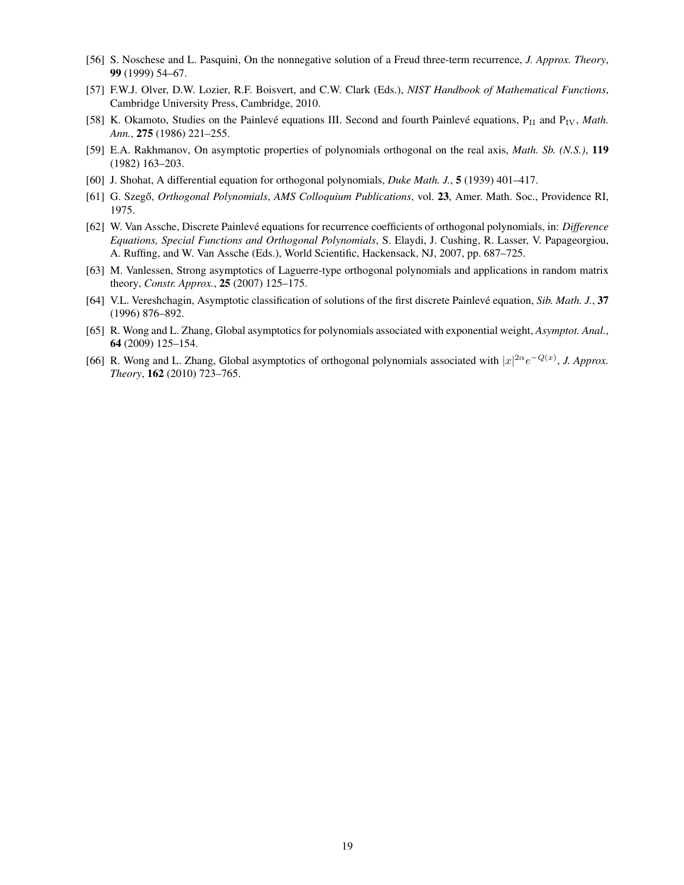- [56] S. Noschese and L. Pasquini, On the nonnegative solution of a Freud three-term recurrence, *J. Approx. Theory*, 99 (1999) 54–67.
- [57] F.W.J. Olver, D.W. Lozier, R.F. Boisvert, and C.W. Clark (Eds.), *NIST Handbook of Mathematical Functions*, Cambridge University Press, Cambridge, 2010.
- [58] K. Okamoto, Studies on the Painlevé equations III. Second and fourth Painlevé equations, P<sub>II</sub> and P<sub>IV</sub>, *Math. Ann.*, 275 (1986) 221–255.
- [59] E.A. Rakhmanov, On asymptotic properties of polynomials orthogonal on the real axis, *Math. Sb. (N.S.)*, 119 (1982) 163–203.
- [60] J. Shohat, A differential equation for orthogonal polynomials, *Duke Math. J.*, 5 (1939) 401–417.
- [61] G. Szegő, *Orthogonal Polynomials*, *AMS Colloquium Publications*, vol. 23, Amer. Math. Soc., Providence RI, 1975.
- [62] W. Van Assche, Discrete Painlevé equations for recurrence coefficients of orthogonal polynomials, in: *Difference Equations, Special Functions and Orthogonal Polynomials*, S. Elaydi, J. Cushing, R. Lasser, V. Papageorgiou, A. Ruffing, and W. Van Assche (Eds.), World Scientific, Hackensack, NJ, 2007, pp. 687–725.
- [63] M. Vanlessen, Strong asymptotics of Laguerre-type orthogonal polynomials and applications in random matrix theory, *Constr. Approx.*, 25 (2007) 125–175.
- [64] V.L. Vereshchagin, Asymptotic classification of solutions of the first discrete Painlevé equation, Sib. Math. J., 37 (1996) 876–892.
- [65] R. Wong and L. Zhang, Global asymptotics for polynomials associated with exponential weight, *Asymptot. Anal.*, 64 (2009) 125–154.
- [66] R. Wong and L. Zhang, Global asymptotics of orthogonal polynomials associated with  $|x|^{2\alpha}e^{-Q(x)}$ , *J. Approx. Theory*, 162 (2010) 723–765.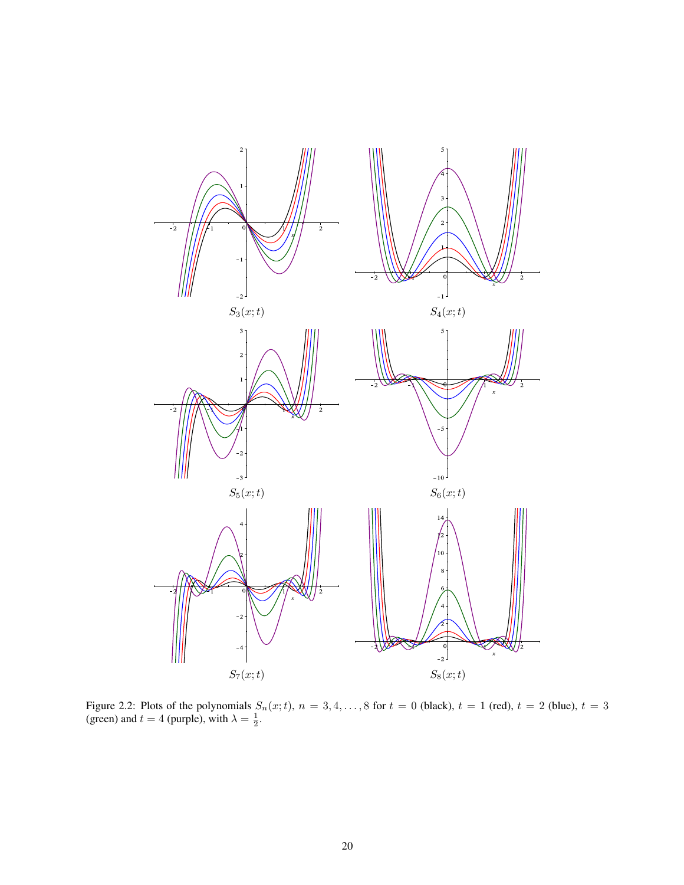

Figure 2.2: Plots of the polynomials  $S_n(x;t)$ ,  $n = 3, 4, ..., 8$  for  $t = 0$  (black),  $t = 1$  (red),  $t = 2$  (blue),  $t = 3$ (green) and  $t = 4$  (purple), with  $\lambda = \frac{1}{2}$ .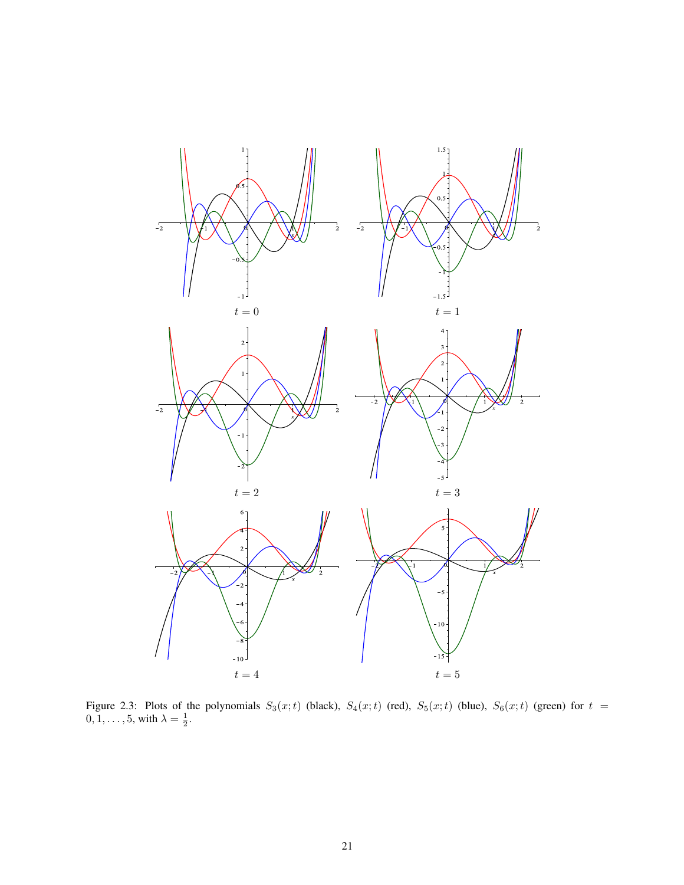

Figure 2.3: Plots of the polynomials  $S_3(x;t)$  (black),  $S_4(x;t)$  (red),  $S_5(x;t)$  (blue),  $S_6(x;t)$  (green) for  $t =$  $0, 1, \ldots, 5$ , with  $\lambda = \frac{1}{2}$ .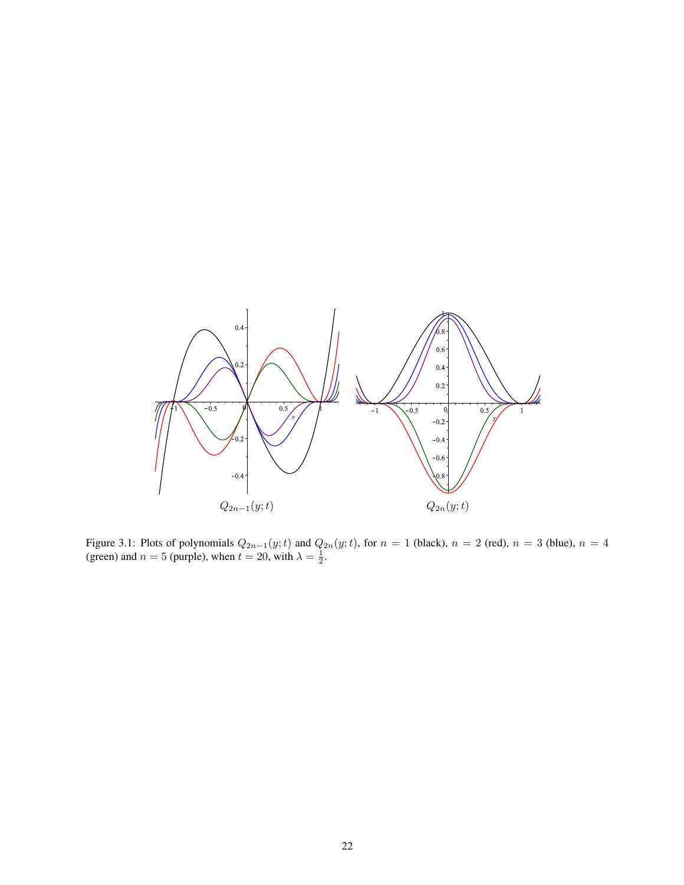

Figure 3.1: Plots of polynomials  $Q_{2n-1}(y;t)$  and  $Q_{2n}(y;t)$ , for  $n = 1$  (black),  $n = 2$  (red),  $n = 3$  (blue),  $n = 4$ (green) and  $n = 5$  (purple), when  $t = 20$ , with  $\lambda = \frac{1}{2}$ .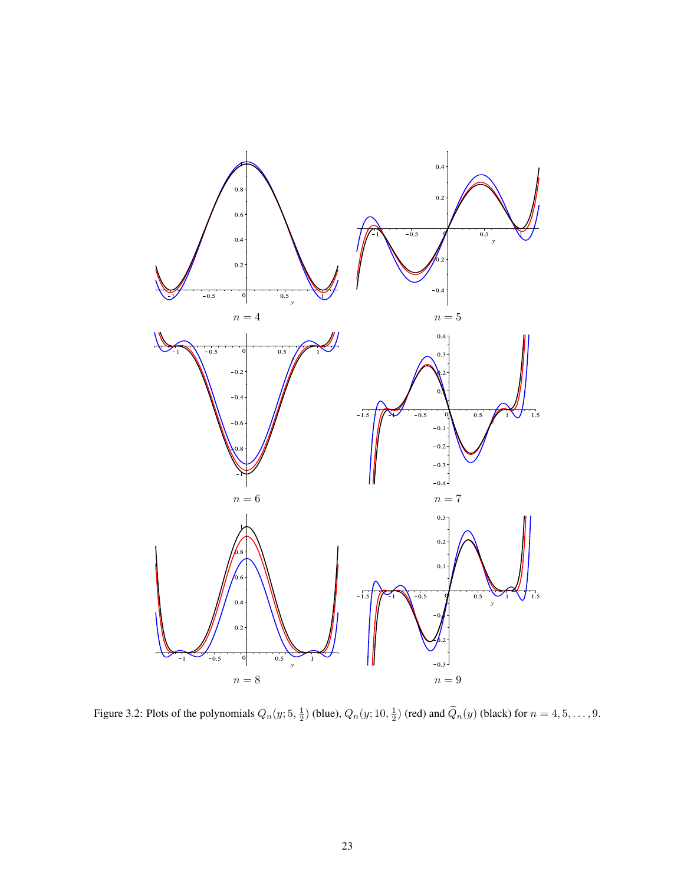

Figure 3.2: Plots of the polynomials  $Q_n(y; 5, \frac{1}{2})$  (blue),  $Q_n(y; 10, \frac{1}{2})$  (red) and  $\tilde{Q}_n(y)$  (black) for  $n = 4, 5, ..., 9$ .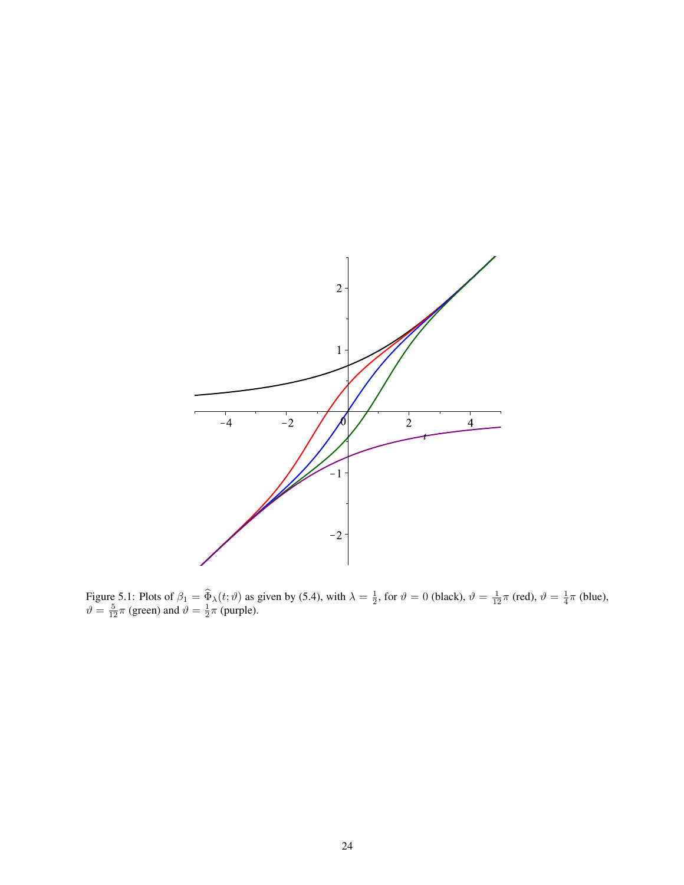

Figure 5.1: Plots of  $\beta_1 = \widehat{\Phi}_\lambda(t; \vartheta)$  as given by (5.4), with  $\lambda = \frac{1}{2}$ , for  $\vartheta = 0$  (black),  $\vartheta = \frac{1}{12}\pi$  (red),  $\vartheta = \frac{1}{4}\pi$  (blue),  $\vartheta = \frac{5}{12}\pi$  (green) and  $\vartheta = \frac{1}{2}\pi$  (purple).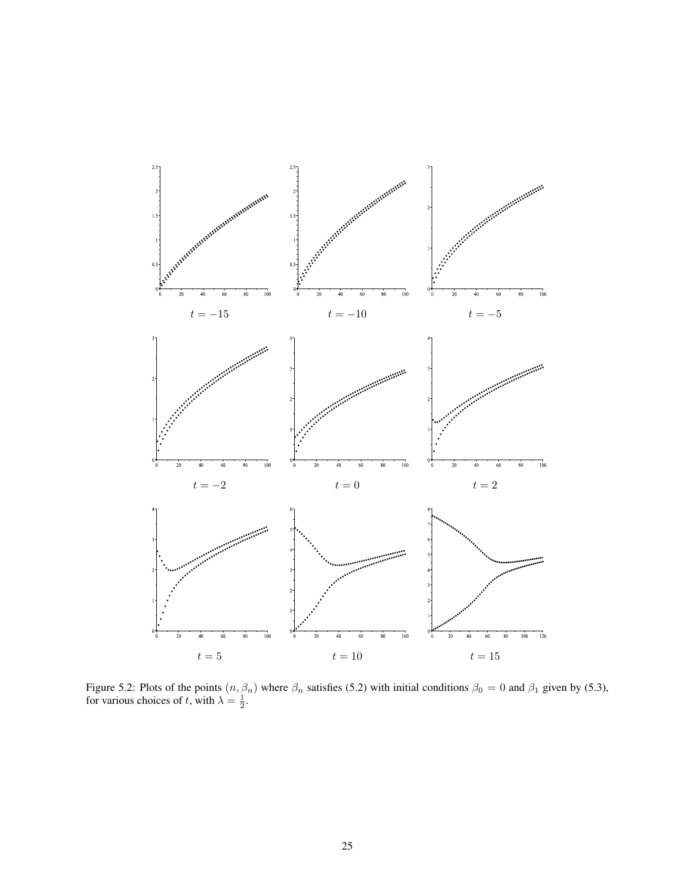

Figure 5.2: Plots of the points  $(n, \beta_n)$  where  $\beta_n$  satisfies (5.2) with initial conditions  $\beta_0 = 0$  and  $\beta_1$  given by (5.3), for various choices of t, with  $\lambda = \frac{1}{2}$ .